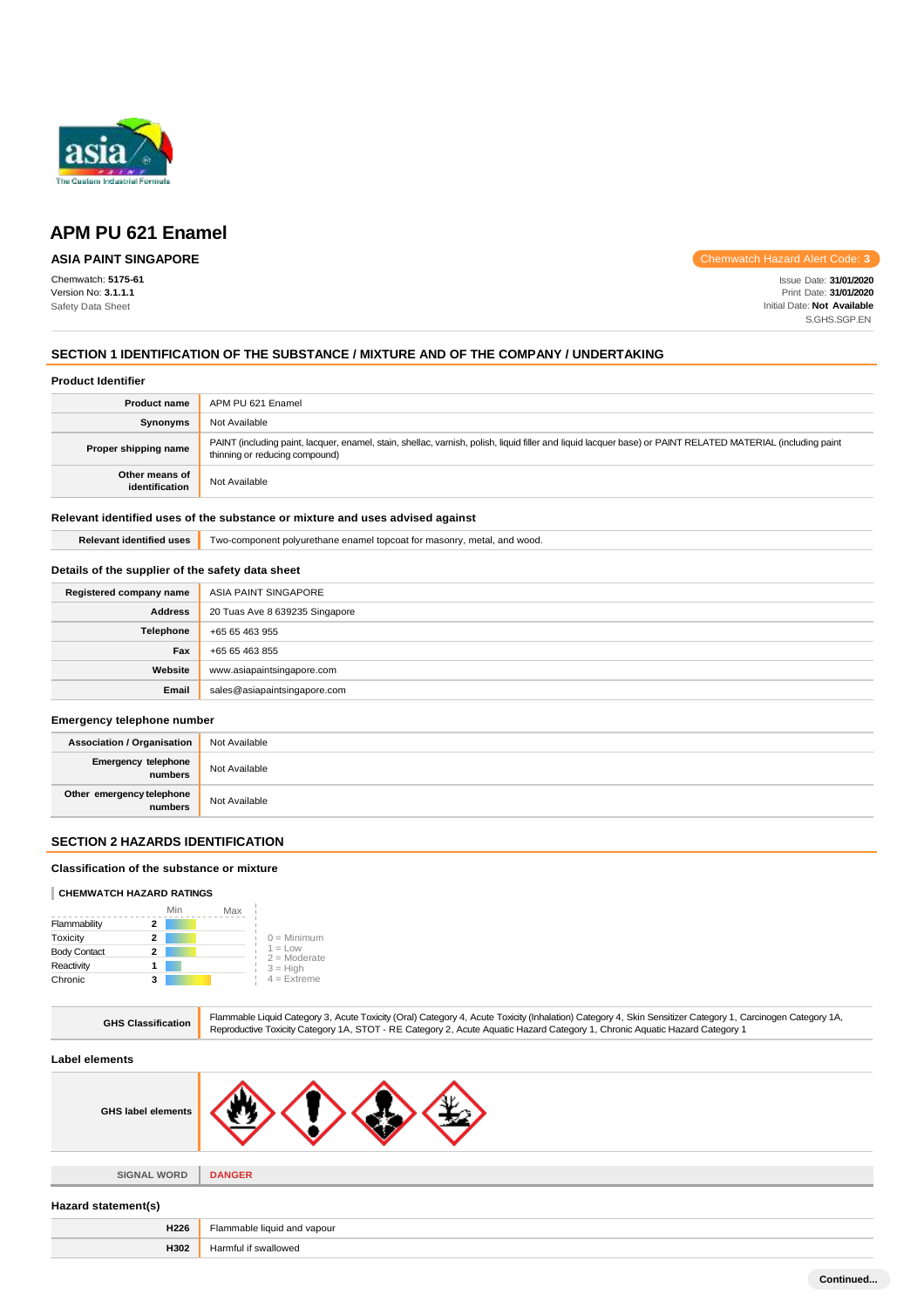

**ASIA PAINT SINGAPORE**

Chemwatch: **5175-61** Version No: **3.1.1.1** Safety Data Sheet

Chemwatch Hazard Alert Code: **3**

Issue Date: **31/01/2020** Print Date: **31/01/2020** Initial Date: **Not Available** S.GHS.SGP.EN

### **SECTION 1 IDENTIFICATION OF THE SUBSTANCE / MIXTURE AND OF THE COMPANY / UNDERTAKING**

### **Product Identifier**

| <b>Product name</b>              | APM PU 621 Enamel                                                                                                                                                                             |
|----------------------------------|-----------------------------------------------------------------------------------------------------------------------------------------------------------------------------------------------|
| Synonyms                         | Not Available                                                                                                                                                                                 |
| Proper shipping name             | PAINT (including paint, lacquer, enamel, stain, shellac, varnish, polish, liquid filler and liquid lacquer base) or PAINT RELATED MATERIAL (including paint<br>thinning or reducing compound) |
| Other means of<br>identification | Not Available                                                                                                                                                                                 |

### **Relevant identified uses of the substance or mixture and uses advised against**

**Relevant identified uses** Two-component polyurethane enamel topcoat for masonry, metal, and wood.

# **Details of the supplier of the safety data sheet**

| Registered company name | ASIA PAINT SINGAPORE           |
|-------------------------|--------------------------------|
| <b>Address</b>          | 20 Tuas Ave 8 639235 Singapore |
| Telephone               | +65 65 463 955                 |
| Fax                     | +65 65 463 855                 |
| Website                 | www.asiapaintsingapore.com     |
| Email                   | sales@asiapaintsingapore.com   |

# **Emergency telephone number**

| <b>Association / Organisation</b>    | Not Available |
|--------------------------------------|---------------|
| Emergency telephone<br>numbers       | Not Available |
| Other emergency telephone<br>numbers | Not Available |

# **SECTION 2 HAZARDS IDENTIFICATION**

#### **Classification of the substance or mixture**

### **CHEMWATCH HAZARD RATINGS**

|                     |   | Min | Max |                             |
|---------------------|---|-----|-----|-----------------------------|
| Flammability        | 2 |     |     |                             |
| Toxicity            | 2 |     |     | $0 =$ Minimum               |
| <b>Body Contact</b> | 2 |     |     | $1 = Low$<br>$2 =$ Moderate |
| Reactivity          |   |     |     | $3 = High$                  |
| Chronic             | з |     |     | $4 =$ Extreme               |

| <b>GHS Classification</b> | Flammable Liquid Category 3, Acute Toxicity (Oral) Category 4, Acute Toxicity (Inhalation) Category 4, Skin Sensitizer Category 1, Carcinogen Category 1A,<br>Reproductive Toxicity Category 1A, STOT - RE Category 2, Acute Aquatic Hazard Category 1, Chronic Aquatic Hazard Category 1 |
|---------------------------|-------------------------------------------------------------------------------------------------------------------------------------------------------------------------------------------------------------------------------------------------------------------------------------------|
| Label elements            |                                                                                                                                                                                                                                                                                           |
| <b>GHS label elements</b> |                                                                                                                                                                                                                                                                                           |
|                           |                                                                                                                                                                                                                                                                                           |
| <b>SIGNAL WORD</b>        | <b>DANGER</b>                                                                                                                                                                                                                                                                             |
| Hazard statement(s)       |                                                                                                                                                                                                                                                                                           |
| H226                      | Flammable liquid and vapour                                                                                                                                                                                                                                                               |
| H302                      | Harmful if swallowed                                                                                                                                                                                                                                                                      |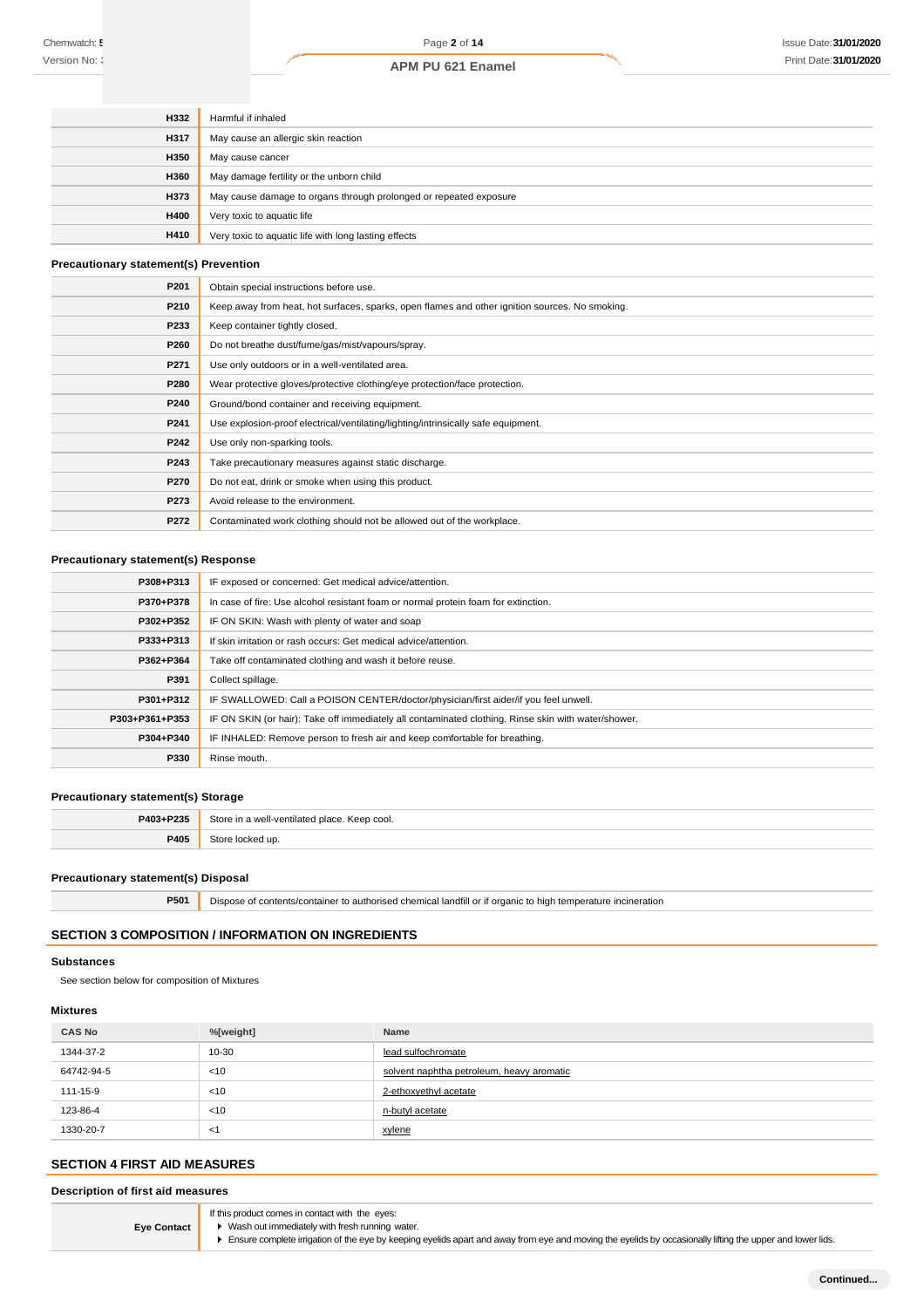| <b>H332</b> | Harmful if inhaled                                                |
|-------------|-------------------------------------------------------------------|
| <b>H317</b> | May cause an allergic skin reaction                               |
| <b>H350</b> | May cause cancer                                                  |
| <b>H360</b> | May damage fertility or the unborn child                          |
| H373        | May cause damage to organs through prolonged or repeated exposure |
| <b>H400</b> | Very toxic to aquatic life                                        |
| H410        | Very toxic to aquatic life with long lasting effects              |

# **Precautionary statement(s) Prevention**

| P201 | Obtain special instructions before use.                                                        |
|------|------------------------------------------------------------------------------------------------|
| P210 | Keep away from heat, hot surfaces, sparks, open flames and other ignition sources. No smoking. |
| P233 | Keep container tightly closed.                                                                 |
| P260 | Do not breathe dust/fume/gas/mist/vapours/spray.                                               |
| P271 | Use only outdoors or in a well-ventilated area.                                                |
| P280 | Wear protective gloves/protective clothing/eye protection/face protection.                     |
| P240 | Ground/bond container and receiving equipment.                                                 |
| P241 | Use explosion-proof electrical/ventilating/lighting/intrinsically safe equipment.              |
| P242 | Use only non-sparking tools.                                                                   |
| P243 | Take precautionary measures against static discharge.                                          |
| P270 | Do not eat, drink or smoke when using this product.                                            |
| P273 | Avoid release to the environment.                                                              |
| P272 | Contaminated work clothing should not be allowed out of the workplace.                         |

# **Precautionary statement(s) Response**

| P308+P313      | IF exposed or concerned: Get medical advice/attention.                                              |
|----------------|-----------------------------------------------------------------------------------------------------|
| P370+P378      | In case of fire: Use alcohol resistant foam or normal protein foam for extinction.                  |
| P302+P352      | IF ON SKIN: Wash with plenty of water and soap                                                      |
| P333+P313      | If skin irritation or rash occurs: Get medical advice/attention.                                    |
| P362+P364      | Take off contaminated clothing and wash it before reuse.                                            |
| P391           | Collect spillage.                                                                                   |
| P301+P312      | IF SWALLOWED: Call a POISON CENTER/doctor/physician/first aider/if you feel unwell.                 |
| P303+P361+P353 | IF ON SKIN (or hair): Take off immediately all contaminated clothing. Rinse skin with water/shower. |
| P304+P340      | IF INHALED: Remove person to fresh air and keep comfortable for breathing.                          |
| P330           | Rinse mouth.                                                                                        |
|                |                                                                                                     |

#### **Precautionary statement(s) Storage**

| P403+P235 | Store in a well-ventilated place. Keep cool. |
|-----------|----------------------------------------------|
| P405      | Store locked up.                             |

### **Precautionary statement(s) Disposal**

**P501** Dispose of contents/container to authorised chemical landfill or if organic to high temperature incineration

# **SECTION 3 COMPOSITION / INFORMATION ON INGREDIENTS**

### **Substances**

See section below for composition of Mixtures

# **Mixtures**

| <b>CAS No</b> | %[weight] | <b>Name</b>                               |
|---------------|-----------|-------------------------------------------|
| 1344-37-2     | $10 - 30$ | lead sulfochromate                        |
| 64742-94-5    | < 10      | solvent naphtha petroleum, heavy aromatic |
| 111-15-9      | < 10      | 2-ethoxyethyl acetate                     |
| 123-86-4      | < 10      | n-butyl acetate                           |
| 1330-20-7     | -1        | xylene                                    |

# **SECTION 4 FIRST AID MEASURES**

**Description of first aid measures**

**Eye Contact**

If this product comes in contact with the eyes:

■ Wash out immediately with fresh running water.

Ensure complete irrigation of the eye by keeping eyelids apart and away from eye and moving the eyelids by occasionally lifting the upper and lower lids.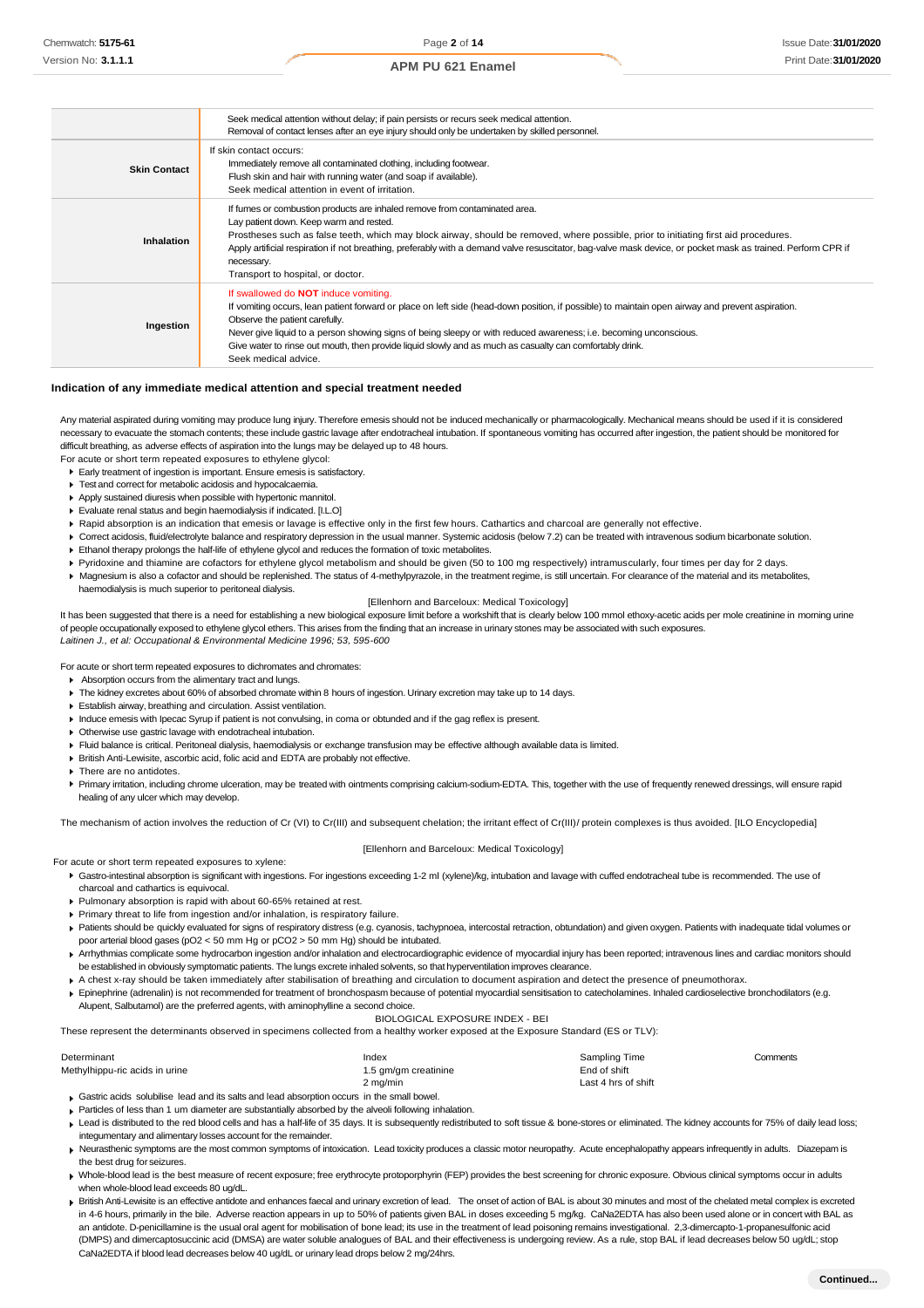|                     | Seek medical attention without delay; if pain persists or recurs seek medical attention.<br>Removal of contact lenses after an eye injury should only be undertaken by skilled personnel.                                                                                                                                                                                                                                                                                                  |
|---------------------|--------------------------------------------------------------------------------------------------------------------------------------------------------------------------------------------------------------------------------------------------------------------------------------------------------------------------------------------------------------------------------------------------------------------------------------------------------------------------------------------|
| <b>Skin Contact</b> | If skin contact occurs:<br>Immediately remove all contaminated clothing, including footwear.<br>Flush skin and hair with running water (and soap if available).<br>Seek medical attention in event of irritation.                                                                                                                                                                                                                                                                          |
| Inhalation          | If furnes or combustion products are inhaled remove from contaminated area.<br>Lay patient down. Keep warm and rested.<br>Prostheses such as false teeth, which may block airway, should be removed, where possible, prior to initiating first aid procedures.<br>Apply artificial respiration if not breathing, preferably with a demand valve resuscitator, bag-valve mask device, or pocket mask as trained. Perform CPR if<br>necessary.<br>Transport to hospital, or doctor.          |
| Ingestion           | If swallowed do <b>NOT</b> induce vomiting.<br>If vomiting occurs, lean patient forward or place on left side (head-down position, if possible) to maintain open airway and prevent aspiration.<br>Observe the patient carefully.<br>Never give liquid to a person showing signs of being sleepy or with reduced awareness; i.e. becoming unconscious.<br>Give water to rinse out mouth, then provide liquid slowly and as much as casualty can comfortably drink.<br>Seek medical advice. |

### **Indication of any immediate medical attention and special treatment needed**

Any material aspirated during vomiting may produce lung injury. Therefore emesis should not be induced mechanically or pharmacologically. Mechanical means should be used if it is considered necessary to evacuate the stomach contents; these include gastric lavage after endotracheal intubation. If spontaneous vomiting has occurred after ingestion, the patient should be monitored for difficult breathing, as adverse effects of aspiration into the lungs may be delayed up to 48 hours.

For acute or short term repeated exposures to ethylene glycol:

- Early treatment of ingestion is important. Ensure emesis is satisfactory.
- $\blacktriangleright$  Test and correct for metabolic acidosis and hypocalcaemia.
- Apply sustained diuresis when possible with hypertonic mannitol.
- Evaluate renal status and begin haemodialysis if indicated. [I.L.O]
- 
- Rapid absorption is an indication that emesis or lavage is effective only in the first few hours. Cathartics and charcoal are generally not effective. Correct acidosis, fluid/electrolyte balance and respiratory depression in the usual manner. Systemic acidosis (below 7.2) can be treated with intravenous sodium bicarbonate solution.
- Ethanol therapy prolongs the half-life of ethylene glycol and reduces the formation of toxic metabolites.
- 
- Pyridoxine and thiamine are cofactors for ethylene glycol metabolism and should be given (50 to 100 mg respectively) intramuscularly, four times per day for 2 days. Magnesium is also a cofactor and should be replenished. The status of 4-methylpyrazole, in the treatment regime, is still uncertain. For clearance of the material and its metabolites,
- haemodialysis is much superior to peritoneal dialysis.

### [Ellenhorn and Barceloux: Medical Toxicology]

It has been suggested that there is a need for establishing a new biological exposure limit before a workshift that is clearly below 100 mmol ethoxy-acetic acids per mole creatinine in morning urine of people occupationally exposed to ethylene glycol ethers. This arises from the finding that an increase in urinary stones may be associated with such exposures. *Laitinen J., et al: Occupational & Environmental Medicine 1996; 53, 595-600*

For acute or short term repeated exposures to dichromates and chromates:

- Absorption occurs from the alimentary tract and lungs.
- The kidney excretes about 60% of absorbed chromate within 8 hours of ingestion. Urinary excretion may take up to 14 days.
- Establish airway, breathing and circulation. Assist ventilation.
- Induce emesis with Ipecac Syrup if patient is not convulsing, in coma or obtunded and if the gag reflex is present.
- Otherwise use gastric lavage with endotracheal intubation.
- Fluid balance is critical. Peritoneal dialysis, haemodialysis or exchange transfusion may be effective although available data is limited.
- British Anti-Lewisite, ascorbic acid, folic acid and EDTA are probably not effective.
- ▶ There are no antidotes
- Primary irritation, including chrome ulceration, may be treated with ointments comprising calcium-sodium-EDTA. This, together with the use of frequently renewed dressings, will ensure rapid healing of any ulcer which may develop.

The mechanism of action involves the reduction of Cr (VI) to Cr(III) and subsequent chelation; the irritant effect of Cr(III)/ protein complexes is thus avoided. [ILO Encyclopedia]

#### [Ellenhorn and Barceloux: Medical Toxicology]

For acute or short term repeated exposures to xylene:

- Gastro-intestinal absorption is significant with ingestions. For ingestions exceeding 1-2 ml (xylene)/kg, intubation and lavage with cuffed endotracheal tube is recommended. The use of charcoal and cathartics is equivocal.
- Pulmonary absorption is rapid with about 60-65% retained at rest.
- Primary threat to life from ingestion and/or inhalation, is respiratory failure.
- ▶ Patients should be quickly evaluated for signs of respiratory distress (e.g. cyanosis, tachypnoea, intercostal retraction, obtundation) and given oxygen. Patients with inadequate tidal volumes or poor arterial blood gases (pO2 < 50 mm Hg or pCO2 > 50 mm Hg) should be intubated.
- Arrhythmias complicate some hydrocarbon ingestion and/or inhalation and electrocardiographic evidence of myocardial injury has been reported; intravenous lines and cardiac monitors should be established in obviously symptomatic patients. The lungs excrete inhaled solvents, so that hyperventilation improves clearance
- A chest x-ray should be taken immediately after stabilisation of breathing and circulation to document aspiration and detect the presence of pneumothorax. Epinephrine (adrenalin) is not recommended for treatment of bronchospasm because of potential myocardial sensitisation to catecholamines. Inhaled cardioselective bronchodilators (e.g.
- Alupent, Salbutamol) are the preferred agents, with aminophylline a second choice.

BIOLOGICAL EXPOSURE INDEX - BEI

| These represent the determinants observed in specimens collected from a healthy worker exposed at the Exposure Standard (ES or TLV): |  |
|--------------------------------------------------------------------------------------------------------------------------------------|--|
|                                                                                                                                      |  |

| Determinant                    | Index                | Sampling Time       | Comments |
|--------------------------------|----------------------|---------------------|----------|
| Methylhippu-ric acids in urine | 1.5 gm/gm creatinine | End of shift        |          |
|                                | $2 \text{ ma/min}$   | Last 4 hrs of shift |          |

Gastric acids solubilise lead and its salts and lead absorption occurs in the small bowel.

- Particles of less than 1 um diameter are substantially absorbed by the alveoli following inhalation. Lead is distributed to the red blood cells and has a half-life of 35 days. It is subsequently redistributed to soft tissue & bone-stores or eliminated. The kidney accounts for 75% of daily lead loss; integumentary and alimentary losses account for the remainder.
- Keurasthenic symptoms are the most common symptoms of intoxication. Lead toxicity produces a classic motor neuropathy. Acute encephalopathy appears infrequently in adults. Diazepam is the best drug for seizures.
- Whole-blood lead is the best measure of recent exposure; free erythrocyte protoporphyrin (FEP) provides the best screening for chronic exposure. Obvious clinical symptoms occur in adults when whole-blood lead exceeds 80 ug/dL.
- British Anti-Lewisite is an effective antidote and enhances faecal and urinary excretion of lead. The onset of action of BAL is about 30 minutes and most of the chelated metal complex is excreted in 4-6 hours, primarily in the bile. Adverse reaction appears in up to 50% of patients given BAL in doses exceeding 5 mg/kg. CaNa2EDTA has also been used alone or in concert with BAL as an antidote. D-penicillamine is the usual oral agent for mobilisation of bone lead; its use in the treatment of lead poisoning remains investigational. 2,3-dimercapto-1-propanesulfonic acid (DMPS) and dimercaptosuccinic acid (DMSA) are water soluble analogues of BAL and their effectiveness is undergoing review. As a rule, stop BAL if lead decreases below 50 ug/dL; stop CaNa2EDTA if blood lead decreases below 40 ug/dL or urinary lead drops below 2 mg/24hrs.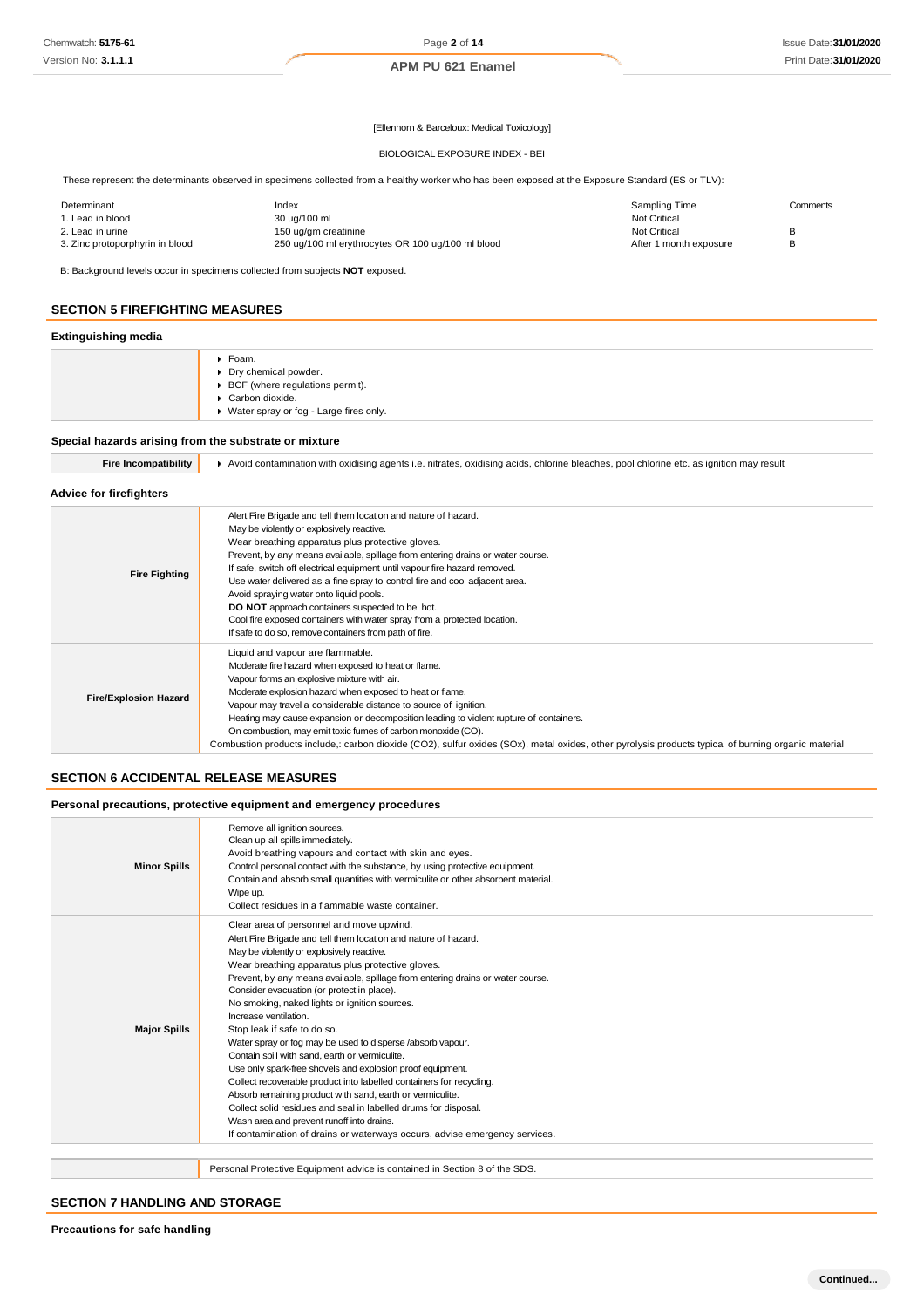### [Ellenhorn & Barceloux: Medical Toxicology]

#### BIOLOGICAL EXPOSURE INDEX - BEI

These represent the determinants observed in specimens collected from a healthy worker who has been exposed at the Exposure Standard (ES or TLV):

| Determinant                     | Index                                             | Sampling Time          | Comments |
|---------------------------------|---------------------------------------------------|------------------------|----------|
| 1. Lead in blood                | 30 ug/100 ml                                      | <b>Not Critical</b>    |          |
| 2. Lead in urine                | 150 ug/gm creatinine                              | Not Critical           |          |
| 3. Zinc protoporphyrin in blood | 250 ug/100 ml erythrocytes OR 100 ug/100 ml blood | After 1 month exposure |          |

B: Background levels occur in specimens collected from subjects **NOT** exposed.

### **SECTION 5 FIREFIGHTING MEASURES**

### **Extinguishing media**

| $\sim$ |                                                                                                                                     |
|--------|-------------------------------------------------------------------------------------------------------------------------------------|
|        | Foam.<br>▶ Dry chemical powder.<br>▶ BCF (where regulations permit).<br>Carbon dioxide.<br>▶ Water spray or fog - Large fires only. |
|        |                                                                                                                                     |

### **Special hazards arising from the substrate or mixture**

| <b>Fire Incompatibility</b> |
|-----------------------------|
|-----------------------------|

**Fire Incompatibility** Avoid contamination with oxidising agents i.e. nitrates, oxidising acids, chlorine bleaches, pool chlorine etc. as ignition may result

### **Advice for firefighters**

| <b>Fire Fighting</b>         | Alert Fire Brigade and tell them location and nature of hazard.<br>May be violently or explosively reactive.<br>Wear breathing apparatus plus protective gloves.<br>Prevent, by any means available, spillage from entering drains or water course.<br>If safe, switch off electrical equipment until vapour fire hazard removed.<br>Use water delivered as a fine spray to control fire and cool adjacent area.<br>Avoid spraying water onto liquid pools.<br><b>DO NOT</b> approach containers suspected to be hot.<br>Cool fire exposed containers with water spray from a protected location.<br>If safe to do so, remove containers from path of fire. |
|------------------------------|-------------------------------------------------------------------------------------------------------------------------------------------------------------------------------------------------------------------------------------------------------------------------------------------------------------------------------------------------------------------------------------------------------------------------------------------------------------------------------------------------------------------------------------------------------------------------------------------------------------------------------------------------------------|
| <b>Fire/Explosion Hazard</b> | Liquid and vapour are flammable.<br>Moderate fire hazard when exposed to heat or flame.<br>Vapour forms an explosive mixture with air.<br>Moderate explosion hazard when exposed to heat or flame.<br>Vapour may travel a considerable distance to source of ignition.<br>Heating may cause expansion or decomposition leading to violent rupture of containers.<br>On combustion, may emit toxic fumes of carbon monoxide (CO).<br>Combustion products include,: carbon dioxide (CO2), sulfur oxides (SOx), metal oxides, other pyrolysis products typical of burning organic material                                                                     |

# **SECTION 6 ACCIDENTAL RELEASE MEASURES**

### **Personal precautions, protective equipment and emergency procedures**

| <b>Minor Spills</b> | Remove all ignition sources.<br>Clean up all spills immediately.<br>Avoid breathing vapours and contact with skin and eyes.<br>Control personal contact with the substance, by using protective equipment.<br>Contain and absorb small quantities with vermiculite or other absorbent material.<br>Wipe up.<br>Collect residues in a flammable waste container.                                                                                                                                                                                                                                                                                                                                                                                                                                                                                                                                                                                                        |
|---------------------|------------------------------------------------------------------------------------------------------------------------------------------------------------------------------------------------------------------------------------------------------------------------------------------------------------------------------------------------------------------------------------------------------------------------------------------------------------------------------------------------------------------------------------------------------------------------------------------------------------------------------------------------------------------------------------------------------------------------------------------------------------------------------------------------------------------------------------------------------------------------------------------------------------------------------------------------------------------------|
| <b>Major Spills</b> | Clear area of personnel and move upwind.<br>Alert Fire Brigade and tell them location and nature of hazard.<br>May be violently or explosively reactive.<br>Wear breathing apparatus plus protective gloves.<br>Prevent, by any means available, spillage from entering drains or water course.<br>Consider evacuation (or protect in place).<br>No smoking, naked lights or ignition sources.<br>Increase ventilation.<br>Stop leak if safe to do so.<br>Water spray or fog may be used to disperse /absorb vapour.<br>Contain spill with sand, earth or vermiculite.<br>Use only spark-free shovels and explosion proof equipment.<br>Collect recoverable product into labelled containers for recycling.<br>Absorb remaining product with sand, earth or vermiculite.<br>Collect solid residues and seal in labelled drums for disposal.<br>Wash area and prevent runoff into drains.<br>If contamination of drains or waterways occurs, advise emergency services. |
|                     | Personal Protective Equipment advice is contained in Section 8 of the SDS.                                                                                                                                                                                                                                                                                                                                                                                                                                                                                                                                                                                                                                                                                                                                                                                                                                                                                             |

# **SECTION 7 HANDLING AND STORAGE**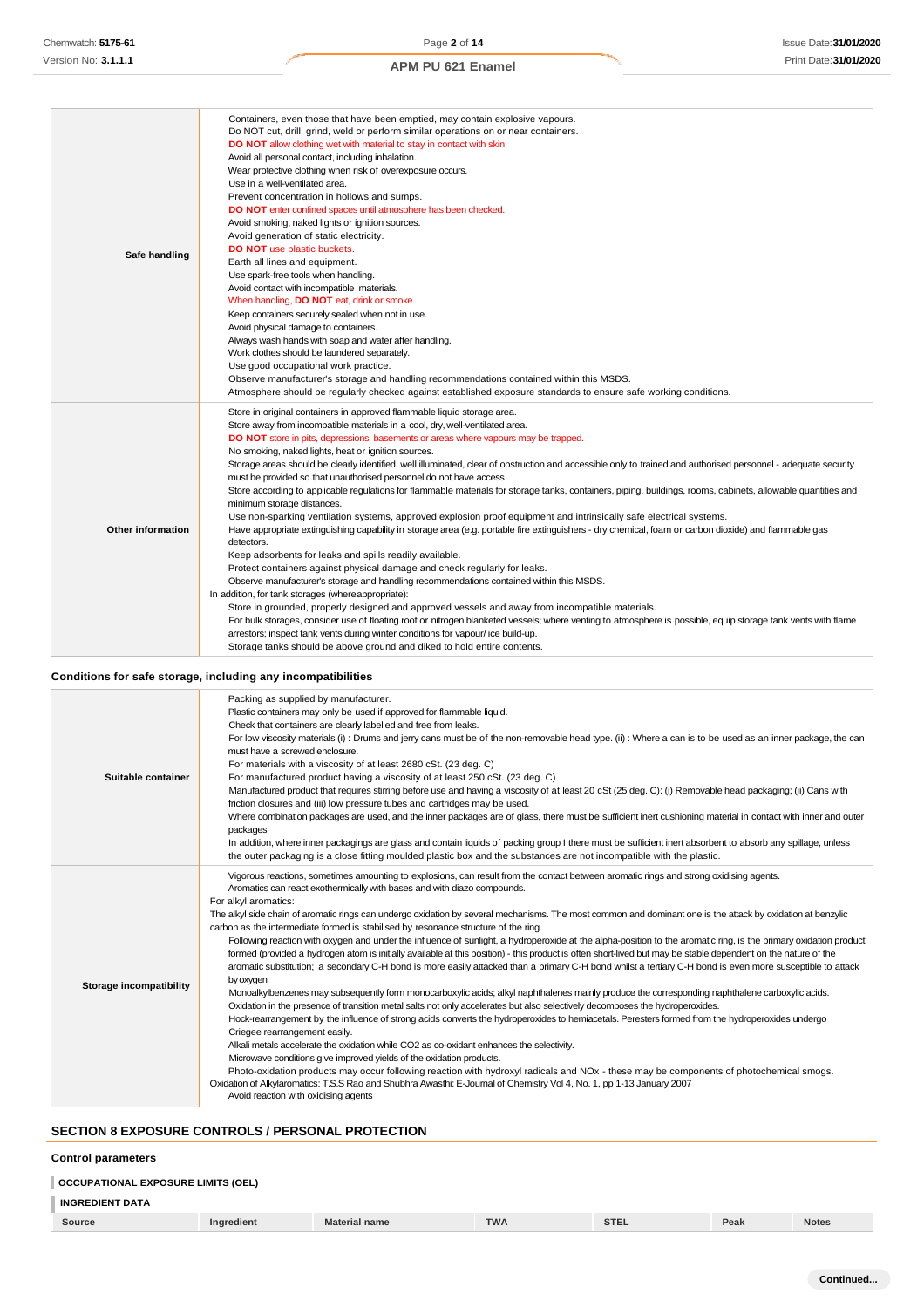# **Conditions for safe storage, including any incompatibilities**

| Suitable container      | Packing as supplied by manufacturer.<br>Plastic containers may only be used if approved for flammable liquid.<br>Check that containers are clearly labelled and free from leaks.<br>For low viscosity materials (i): Drums and jerry cans must be of the non-removable head type. (ii): Where a can is to be used as an inner package, the can<br>must have a screwed enclosure.<br>For materials with a viscosity of at least 2680 cSt. (23 deg. C)<br>For manufactured product having a viscosity of at least 250 cSt. (23 deg. C)<br>Manufactured product that requires stirring before use and having a viscosity of at least 20 cSt (25 deg. C): (i) Removable head packaging; (ii) Cans with<br>friction closures and (iii) low pressure tubes and cartridges may be used.<br>Where combination packages are used, and the inner packages are of glass, there must be sufficient inert cushioning material in contact with inner and outer<br>packages<br>In addition, where inner packagings are glass and contain liquids of packing group I there must be sufficient inert absorbent to absorb any spillage, unless<br>the outer packaging is a close fitting moulded plastic box and the substances are not incompatible with the plastic.                                                                                                                                                                                                                                                                                                                                                                                                                                                                                                                                                                                                                                                                                                                   |
|-------------------------|------------------------------------------------------------------------------------------------------------------------------------------------------------------------------------------------------------------------------------------------------------------------------------------------------------------------------------------------------------------------------------------------------------------------------------------------------------------------------------------------------------------------------------------------------------------------------------------------------------------------------------------------------------------------------------------------------------------------------------------------------------------------------------------------------------------------------------------------------------------------------------------------------------------------------------------------------------------------------------------------------------------------------------------------------------------------------------------------------------------------------------------------------------------------------------------------------------------------------------------------------------------------------------------------------------------------------------------------------------------------------------------------------------------------------------------------------------------------------------------------------------------------------------------------------------------------------------------------------------------------------------------------------------------------------------------------------------------------------------------------------------------------------------------------------------------------------------------------------------------------------------------------------------------------------------------------------------------------|
| Storage incompatibility | Vigorous reactions, sometimes amounting to explosions, can result from the contact between aromatic rings and strong oxidising agents.<br>Aromatics can react exothermically with bases and with diazo compounds.<br>For alkyl aromatics:<br>The alkyl side chain of aromatic rings can undergo oxidation by several mechanisms. The most common and dominant one is the attack by oxidation at benzylic<br>carbon as the intermediate formed is stabilised by resonance structure of the ring.<br>Following reaction with oxygen and under the influence of sunlight, a hydroperoxide at the alpha-position to the aromatic ring, is the primary oxidation product<br>formed (provided a hydrogen atom is initially available at this position) - this product is often short-lived but may be stable dependent on the nature of the<br>aromatic substitution; a secondary C-H bond is more easily attacked than a primary C-H bond whilst a tertiary C-H bond is even more susceptible to attack<br>by oxygen<br>Monoalkylbenzenes may subsequently form monocarboxylic acids; alkyl naphthalenes mainly produce the corresponding naphthalene carboxylic acids.<br>Oxidation in the presence of transition metal salts not only accelerates but also selectively decomposes the hydroperoxides.<br>Hock-rearrangement by the influence of strong acids converts the hydroperoxides to hemiacetals. Peresters formed from the hydroperoxides undergo<br>Criegee rearrangement easily.<br>Alkali metals accelerate the oxidation while CO2 as co-oxidant enhances the selectivity.<br>Microwave conditions give improved yields of the oxidation products.<br>Photo-oxidation products may occur following reaction with hydroxyl radicals and NOx - these may be components of photochemical smogs.<br>Oxidation of Alkylaromatics: T.S.S Rao and Shubhra Awasthi: E-Journal of Chemistry Vol 4, No. 1, pp 1-13 January 2007<br>Avoid reaction with oxidising agents |

# **SECTION 8 EXPOSURE CONTROLS / PERSONAL PROTECTION**

### **Control parameters**

| <b>OCCUPATIONAL EXPOSURE LIMITS (OEL)</b> |            |                      |            |             |      |              |
|-------------------------------------------|------------|----------------------|------------|-------------|------|--------------|
| <b>INGREDIENT DATA</b>                    |            |                      |            |             |      |              |
| Source                                    | Ingredient | <b>Material name</b> | <b>TWA</b> | <b>STEL</b> | Peak | <b>Notes</b> |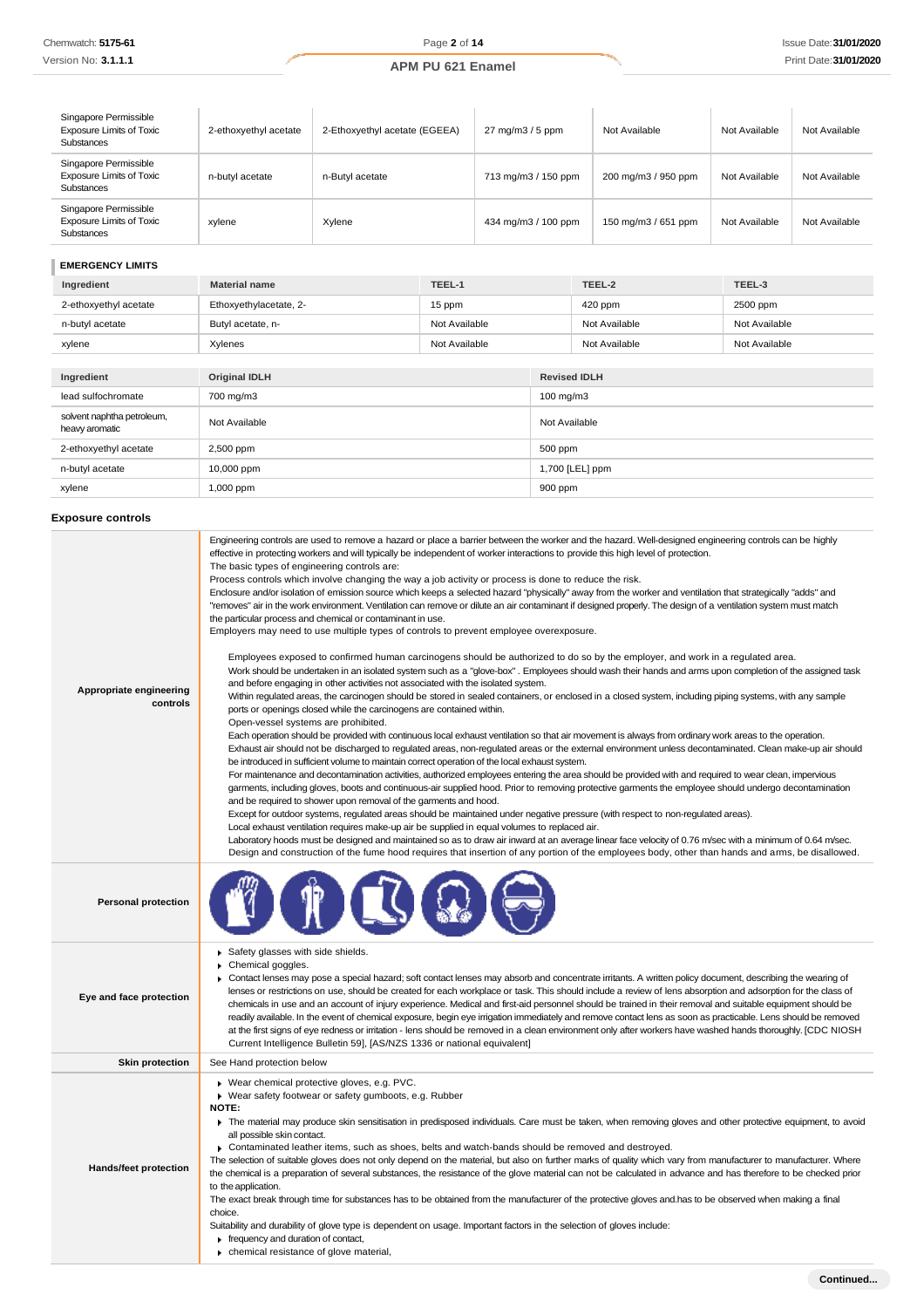| Singapore Permissible<br><b>Exposure Limits of Toxic</b><br><b>Substances</b> | 2-ethoxyethyl acetate | 2-Ethoxyethyl acetate (EGEEA) | $27 \text{ mg/m}$ $3/5 \text{ ppm}$ | Not Available       | Not Available | Not Available |
|-------------------------------------------------------------------------------|-----------------------|-------------------------------|-------------------------------------|---------------------|---------------|---------------|
| Singapore Permissible<br><b>Exposure Limits of Toxic</b><br>Substances        | n-butyl acetate       | n-Butyl acetate               | 713 mg/m3 / 150 ppm                 | 200 mg/m3 / 950 ppm | Not Available | Not Available |
| Singapore Permissible<br><b>Exposure Limits of Toxic</b><br>Substances        | xylene                | Xylene                        | 434 mg/m3 / 100 ppm                 | 150 mg/m3 / 651 ppm | Not Available | Not Available |

# **EMERGENCY LIMITS**

| Ingredient                                   | <b>Material name</b>   | TEEL-1        |                     | TEEL-2        | TEEL-3        |
|----------------------------------------------|------------------------|---------------|---------------------|---------------|---------------|
| 2-ethoxyethyl acetate                        | Ethoxyethylacetate, 2- | 15 ppm        |                     | $420$ ppm     | 2500 ppm      |
| n-butyl acetate                              | Butyl acetate, n-      | Not Available |                     | Not Available | Not Available |
| xylene                                       | Xylenes                | Not Available |                     | Not Available | Not Available |
|                                              |                        |               |                     |               |               |
| Ingredient                                   | <b>Original IDLH</b>   |               | <b>Revised IDLH</b> |               |               |
| lead sulfochromate                           | 700 mg/m3              |               | 100 mg/m3           |               |               |
| solvent naphtha petroleum,<br>heavy aromatic | Not Available          |               | Not Available       |               |               |
| 2-ethoxyethyl acetate                        | 2,500 ppm              |               | 500 ppm             |               |               |

n-butyl acetate 10,000 ppm 1,700 [LEL] ppm xylene 1,000 ppm 900 ppm

# **Exposure controls**

| Appropriate engineering<br>controls | Engineering controls are used to remove a hazard or place a barrier between the worker and the hazard. Well-designed engineering controls can be highly<br>effective in protecting workers and will typically be independent of worker interactions to provide this high level of protection.<br>The basic types of engineering controls are:<br>Process controls which involve changing the way a job activity or process is done to reduce the risk.<br>Enclosure and/or isolation of emission source which keeps a selected hazard "physically" away from the worker and ventilation that strategically "adds" and<br>"removes" air in the work environment. Ventilation can remove or dilute an air contaminant if designed properly. The design of a ventilation system must match<br>the particular process and chemical or contaminant in use.<br>Employers may need to use multiple types of controls to prevent employee overexposure.<br>Employees exposed to confirmed human carcinogens should be authorized to do so by the employer, and work in a regulated area.<br>Work should be undertaken in an isolated system such as a "glove-box". Employees should wash their hands and arms upon completion of the assigned task<br>and before engaging in other activities not associated with the isolated system.<br>Within regulated areas, the carcinogen should be stored in sealed containers, or enclosed in a closed system, including piping systems, with any sample<br>ports or openings closed while the carcinogens are contained within.<br>Open-vessel systems are prohibited.<br>Each operation should be provided with continuous local exhaust ventilation so that air movement is always from ordinary work areas to the operation.<br>Exhaust air should not be discharged to regulated areas, non-regulated areas or the external environment unless decontaminated. Clean make-up air should<br>be introduced in sufficient volume to maintain correct operation of the local exhaust system.<br>For maintenance and decontamination activities, authorized employees entering the area should be provided with and required to wear clean, impervious<br>garments, including gloves, boots and continuous-air supplied hood. Prior to removing protective garments the employee should undergo decontamination<br>and be required to shower upon removal of the garments and hood.<br>Except for outdoor systems, regulated areas should be maintained under negative pressure (with respect to non-regulated areas).<br>Local exhaust ventilation requires make-up air be supplied in equal volumes to replaced air.<br>Laboratory hoods must be designed and maintained so as to draw air inward at an average linear face velocity of 0.76 m/sec with a minimum of 0.64 m/sec.<br>Design and construction of the fume hood requires that insertion of any portion of the employees body, other than hands and arms, be disallowed. |
|-------------------------------------|-------------------------------------------------------------------------------------------------------------------------------------------------------------------------------------------------------------------------------------------------------------------------------------------------------------------------------------------------------------------------------------------------------------------------------------------------------------------------------------------------------------------------------------------------------------------------------------------------------------------------------------------------------------------------------------------------------------------------------------------------------------------------------------------------------------------------------------------------------------------------------------------------------------------------------------------------------------------------------------------------------------------------------------------------------------------------------------------------------------------------------------------------------------------------------------------------------------------------------------------------------------------------------------------------------------------------------------------------------------------------------------------------------------------------------------------------------------------------------------------------------------------------------------------------------------------------------------------------------------------------------------------------------------------------------------------------------------------------------------------------------------------------------------------------------------------------------------------------------------------------------------------------------------------------------------------------------------------------------------------------------------------------------------------------------------------------------------------------------------------------------------------------------------------------------------------------------------------------------------------------------------------------------------------------------------------------------------------------------------------------------------------------------------------------------------------------------------------------------------------------------------------------------------------------------------------------------------------------------------------------------------------------------------------------------------------------------------------------------------------------------------------------------------------------------------------------------------------------------------------------------------------------------------------------------------------------------------------------|
| <b>Personal protection</b>          |                                                                                                                                                                                                                                                                                                                                                                                                                                                                                                                                                                                                                                                                                                                                                                                                                                                                                                                                                                                                                                                                                                                                                                                                                                                                                                                                                                                                                                                                                                                                                                                                                                                                                                                                                                                                                                                                                                                                                                                                                                                                                                                                                                                                                                                                                                                                                                                                                                                                                                                                                                                                                                                                                                                                                                                                                                                                                                                                                                         |
| Eye and face protection             | Safety glasses with side shields.<br>Chemical goggles.<br>▶ Contact lenses may pose a special hazard; soft contact lenses may absorb and concentrate irritants. A written policy document, describing the wearing of<br>lenses or restrictions on use, should be created for each workplace or task. This should include a review of lens absorption and adsorption for the class of<br>chemicals in use and an account of injury experience. Medical and first-aid personnel should be trained in their removal and suitable equipment should be<br>readily available. In the event of chemical exposure, begin eye irrigation immediately and remove contact lens as soon as practicable. Lens should be removed<br>at the first signs of eye redness or irritation - lens should be removed in a clean environment only after workers have washed hands thoroughly. [CDC NIOSH<br>Current Intelligence Bulletin 59], [AS/NZS 1336 or national equivalent]                                                                                                                                                                                                                                                                                                                                                                                                                                                                                                                                                                                                                                                                                                                                                                                                                                                                                                                                                                                                                                                                                                                                                                                                                                                                                                                                                                                                                                                                                                                                                                                                                                                                                                                                                                                                                                                                                                                                                                                                            |
| <b>Skin protection</b>              | See Hand protection below                                                                                                                                                                                                                                                                                                                                                                                                                                                                                                                                                                                                                                                                                                                                                                                                                                                                                                                                                                                                                                                                                                                                                                                                                                                                                                                                                                                                                                                                                                                                                                                                                                                                                                                                                                                                                                                                                                                                                                                                                                                                                                                                                                                                                                                                                                                                                                                                                                                                                                                                                                                                                                                                                                                                                                                                                                                                                                                                               |
| Hands/feet protection               | ▶ Wear chemical protective gloves, e.g. PVC.<br>▶ Wear safety footwear or safety gumboots, e.g. Rubber<br><b>NOTE:</b><br>The material may produce skin sensitisation in predisposed individuals. Care must be taken, when removing gloves and other protective equipment, to avoid<br>all possible skin contact.<br>► Contaminated leather items, such as shoes, belts and watch-bands should be removed and destroyed.<br>The selection of suitable gloves does not only depend on the material, but also on further marks of quality which vary from manufacturer to manufacturer. Where<br>the chemical is a preparation of several substances, the resistance of the glove material can not be calculated in advance and has therefore to be checked prior<br>to the application.<br>The exact break through time for substances has to be obtained from the manufacturer of the protective gloves and has to be observed when making a final<br>choice.<br>Suitability and durability of glove type is dependent on usage. Important factors in the selection of gloves include:<br>$\blacktriangleright$ frequency and duration of contact,<br>chemical resistance of glove material,                                                                                                                                                                                                                                                                                                                                                                                                                                                                                                                                                                                                                                                                                                                                                                                                                                                                                                                                                                                                                                                                                                                                                                                                                                                                                                                                                                                                                                                                                                                                                                                                                                                                                                                                                                            |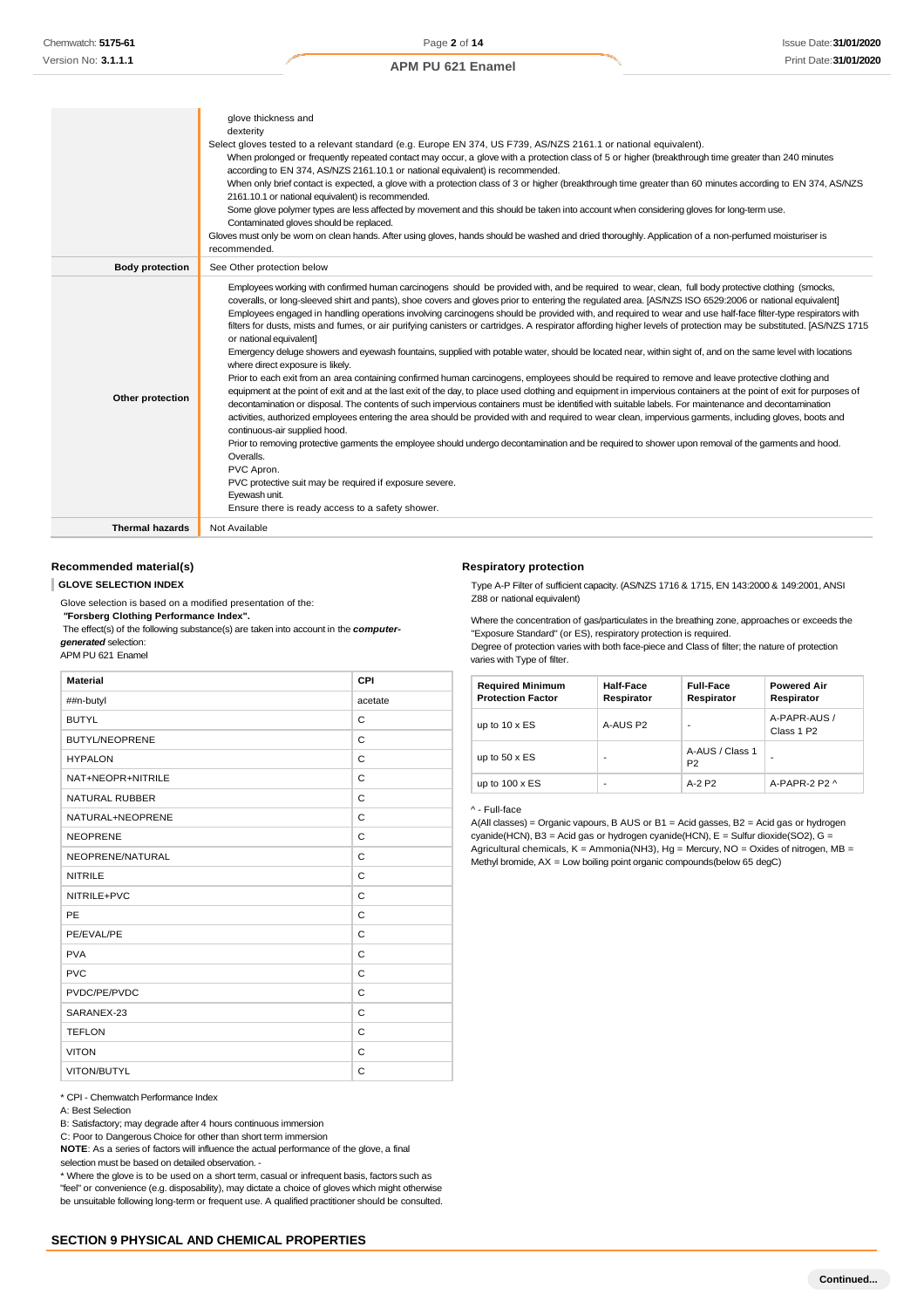|                        | glove thickness and                                                                                                                                                                                                                                                                                                                                                                                                                                                                                                                                                                                                                                                                                                                                                                                                                                                                                                                                                                                                                                                                                                                                                                                                                                                                                                                                                                                                                                                                                                                                                                                                                                                                                                                                                                                                                                                           |
|------------------------|-------------------------------------------------------------------------------------------------------------------------------------------------------------------------------------------------------------------------------------------------------------------------------------------------------------------------------------------------------------------------------------------------------------------------------------------------------------------------------------------------------------------------------------------------------------------------------------------------------------------------------------------------------------------------------------------------------------------------------------------------------------------------------------------------------------------------------------------------------------------------------------------------------------------------------------------------------------------------------------------------------------------------------------------------------------------------------------------------------------------------------------------------------------------------------------------------------------------------------------------------------------------------------------------------------------------------------------------------------------------------------------------------------------------------------------------------------------------------------------------------------------------------------------------------------------------------------------------------------------------------------------------------------------------------------------------------------------------------------------------------------------------------------------------------------------------------------------------------------------------------------|
|                        | dexterity                                                                                                                                                                                                                                                                                                                                                                                                                                                                                                                                                                                                                                                                                                                                                                                                                                                                                                                                                                                                                                                                                                                                                                                                                                                                                                                                                                                                                                                                                                                                                                                                                                                                                                                                                                                                                                                                     |
|                        | Select gloves tested to a relevant standard (e.g. Europe EN 374, US F739, AS/NZS 2161.1 or national equivalent).                                                                                                                                                                                                                                                                                                                                                                                                                                                                                                                                                                                                                                                                                                                                                                                                                                                                                                                                                                                                                                                                                                                                                                                                                                                                                                                                                                                                                                                                                                                                                                                                                                                                                                                                                              |
|                        | When prolonged or frequently repeated contact may occur, a glove with a protection class of 5 or higher (breakthrough time greater than 240 minutes                                                                                                                                                                                                                                                                                                                                                                                                                                                                                                                                                                                                                                                                                                                                                                                                                                                                                                                                                                                                                                                                                                                                                                                                                                                                                                                                                                                                                                                                                                                                                                                                                                                                                                                           |
|                        | according to EN 374, AS/NZS 2161.10.1 or national equivalent) is recommended.                                                                                                                                                                                                                                                                                                                                                                                                                                                                                                                                                                                                                                                                                                                                                                                                                                                                                                                                                                                                                                                                                                                                                                                                                                                                                                                                                                                                                                                                                                                                                                                                                                                                                                                                                                                                 |
|                        | When only brief contact is expected, a glove with a protection class of 3 or higher (breakthrough time greater than 60 minutes according to EN 374, AS/NZS                                                                                                                                                                                                                                                                                                                                                                                                                                                                                                                                                                                                                                                                                                                                                                                                                                                                                                                                                                                                                                                                                                                                                                                                                                                                                                                                                                                                                                                                                                                                                                                                                                                                                                                    |
|                        | 2161.10.1 or national equivalent) is recommended.                                                                                                                                                                                                                                                                                                                                                                                                                                                                                                                                                                                                                                                                                                                                                                                                                                                                                                                                                                                                                                                                                                                                                                                                                                                                                                                                                                                                                                                                                                                                                                                                                                                                                                                                                                                                                             |
|                        | Some glove polymer types are less affected by movement and this should be taken into account when considering gloves for long-term use.                                                                                                                                                                                                                                                                                                                                                                                                                                                                                                                                                                                                                                                                                                                                                                                                                                                                                                                                                                                                                                                                                                                                                                                                                                                                                                                                                                                                                                                                                                                                                                                                                                                                                                                                       |
|                        | Contaminated gloves should be replaced.                                                                                                                                                                                                                                                                                                                                                                                                                                                                                                                                                                                                                                                                                                                                                                                                                                                                                                                                                                                                                                                                                                                                                                                                                                                                                                                                                                                                                                                                                                                                                                                                                                                                                                                                                                                                                                       |
|                        | Gloves must only be wom on clean hands. After using gloves, hands should be washed and dried thoroughly. Application of a non-perfumed moisturiser is                                                                                                                                                                                                                                                                                                                                                                                                                                                                                                                                                                                                                                                                                                                                                                                                                                                                                                                                                                                                                                                                                                                                                                                                                                                                                                                                                                                                                                                                                                                                                                                                                                                                                                                         |
|                        | recommended.                                                                                                                                                                                                                                                                                                                                                                                                                                                                                                                                                                                                                                                                                                                                                                                                                                                                                                                                                                                                                                                                                                                                                                                                                                                                                                                                                                                                                                                                                                                                                                                                                                                                                                                                                                                                                                                                  |
| <b>Body protection</b> | See Other protection below                                                                                                                                                                                                                                                                                                                                                                                                                                                                                                                                                                                                                                                                                                                                                                                                                                                                                                                                                                                                                                                                                                                                                                                                                                                                                                                                                                                                                                                                                                                                                                                                                                                                                                                                                                                                                                                    |
| Other protection       | Employees working with confirmed human carcinogens should be provided with, and be required to wear, clean, full body protective clothing (smocks,<br>coveralls, or long-sleeved shirt and pants), shoe covers and gloves prior to entering the regulated area. [AS/NZS ISO 6529:2006 or national equivalent]<br>Employees engaged in handling operations involving carcinogens should be provided with, and required to wear and use half-face filter-type respirators with<br>filters for dusts, mists and fumes, or air purifying canisters or cartridges. A respirator affording higher levels of protection may be substituted. [AS/NZS 1715<br>or national equivalent]<br>Emergency deluge showers and eyewash fountains, supplied with potable water, should be located near, within sight of, and on the same level with locations<br>where direct exposure is likely.<br>Prior to each exit from an area containing confirmed human carcinogens, employees should be required to remove and leave protective clothing and<br>equipment at the point of exit and at the last exit of the day, to place used clothing and equipment in impervious containers at the point of exit for purposes of<br>decontamination or disposal. The contents of such impervious containers must be identified with suitable labels. For maintenance and decontamination<br>activities, authorized employees entering the area should be provided with and required to wear clean, impervious garments, including gloves, boots and<br>continuous-air supplied hood.<br>Prior to removing protective garments the employee should undergo decontamination and be required to shower upon removal of the garments and hood.<br>Overalls.<br>PVC Apron.<br>PVC protective suit may be required if exposure severe.<br>Eyewash unit.<br>Ensure there is ready access to a safety shower. |
| <b>Thermal hazards</b> | Not Available                                                                                                                                                                                                                                                                                                                                                                                                                                                                                                                                                                                                                                                                                                                                                                                                                                                                                                                                                                                                                                                                                                                                                                                                                                                                                                                                                                                                                                                                                                                                                                                                                                                                                                                                                                                                                                                                 |
|                        |                                                                                                                                                                                                                                                                                                                                                                                                                                                                                                                                                                                                                                                                                                                                                                                                                                                                                                                                                                                                                                                                                                                                                                                                                                                                                                                                                                                                                                                                                                                                                                                                                                                                                                                                                                                                                                                                               |

### **Recommended material(s)**

**GLOVE SELECTION INDEX**

Glove selection is based on a modified presentation of the:

*"***Forsberg Clothing Performance Index".**

The effect(s) of the following substance(s) are taken into account in the *computergenerated* selection:

APM PU 621 Enamel

| <b>Material</b>       | CPI     |
|-----------------------|---------|
| ##n-butyl             | acetate |
| <b>BUTYL</b>          | C       |
| <b>BUTYL/NEOPRENE</b> | C       |
| <b>HYPALON</b>        | C       |
| NAT+NEOPR+NITRILE     | C       |
| <b>NATURAL RUBBER</b> | C       |
| NATURAL+NEOPRENE      | C       |
| <b>NEOPRENE</b>       | C       |
| NEOPRENE/NATURAL      | C       |
| <b>NITRILE</b>        | C       |
| NITRILE+PVC           | C       |
| PE                    | C       |
| PE/EVAL/PE            | C       |
| <b>PVA</b>            | C       |
| <b>PVC</b>            | C       |
| PVDC/PE/PVDC          | C       |
| SARANEX-23            | C       |
| <b>TEFLON</b>         | C       |
| <b>VITON</b>          | C       |
| VITON/BUTYL           | C       |

\* CPI - Chemwatch Performance Index

B: Satisfactory; may degrade after 4 hours continuous immersion

C: Poor to Dangerous Choice for other than short term immersion

**NOTE**: As a series of factors will influence the actual performance of the glove, a final selection must be based on detailed observation. -

\* Where the glove is to be used on a short term, casual or infrequent basis, factors such as "feel" or convenience (e.g. disposability), may dictate a choice of gloves which might otherwise be unsuitable following long-term or frequent use. A qualified practitioner should be consulted.

#### **Respiratory protection**

Type A-P Filter of sufficient capacity. (AS/NZS 1716 & 1715, EN 143:2000 & 149:2001, ANSI Z88 or national equivalent)

Where the concentration of gas/particulates in the breathing zone, approaches or exceeds the "Exposure Standard" (or ES), respiratory protection is required. Degree of protection varies with both face-piece and Class of filter; the nature of protection

varies with Type of filter.

| <b>Required Minimum</b><br><b>Protection Factor</b> | <b>Half-Face</b><br>Respirator | <b>Full-Face</b><br>Respirator    | <b>Powered Air</b><br>Respirator       |
|-----------------------------------------------------|--------------------------------|-----------------------------------|----------------------------------------|
| up to $10 \times ES$                                | A-AUS P2                       | ٠                                 | A-PAPR-AUS /<br>Class 1 P <sub>2</sub> |
| up to $50 \times ES$                                |                                | A-AUS / Class 1<br>P <sub>2</sub> |                                        |
| up to $100 \times ES$                               | ٠                              | $A-2P2$                           | A-PAPR-2 P2 $\land$                    |

^ - Full-face

A(All classes) = Organic vapours, B AUS or B1 = Acid gasses, B2 = Acid gas or hydrogen cyanide(HCN), B3 = Acid gas or hydrogen cyanide(HCN), E = Sulfur dioxide(SO2), G = Agricultural chemicals,  $K =$  Ammonia(NH3), Hg = Mercury, NO = Oxides of nitrogen, MB = Methyl bromide, AX = Low boiling point organic compounds(below 65 degC)

A: Best Selection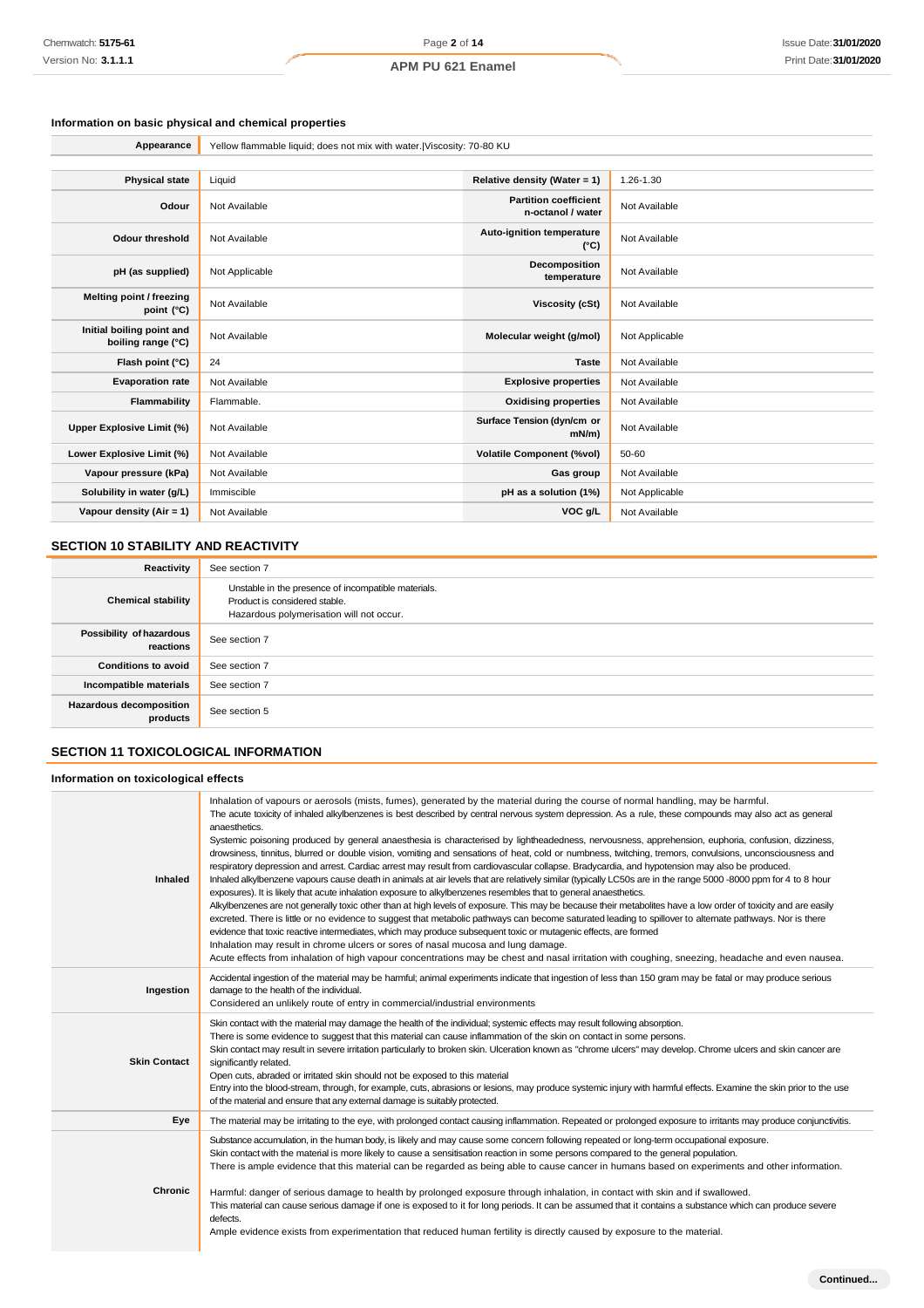# **Information on basic physical and chemical properties**

| Appearance                                      | Yellow flammable liquid; does not mix with water.   Viscosity: 70-80 KU |                                                   |                |
|-------------------------------------------------|-------------------------------------------------------------------------|---------------------------------------------------|----------------|
|                                                 |                                                                         |                                                   |                |
| <b>Physical state</b>                           | Liquid                                                                  | Relative density (Water = 1)                      | 1.26-1.30      |
| Odour                                           | Not Available                                                           | <b>Partition coefficient</b><br>n-octanol / water | Not Available  |
| <b>Odour threshold</b>                          | Not Available                                                           | Auto-ignition temperature<br>$(^{\circ}C)$        | Not Available  |
| pH (as supplied)                                | Not Applicable                                                          | Decomposition<br>temperature                      | Not Available  |
| Melting point / freezing<br>point (°C)          | Not Available                                                           | <b>Viscosity (cSt)</b>                            | Not Available  |
| Initial boiling point and<br>boiling range (°C) | Not Available                                                           | Molecular weight (g/mol)                          | Not Applicable |
| Flash point (°C)                                | 24                                                                      | <b>Taste</b>                                      | Not Available  |
| <b>Evaporation rate</b>                         | Not Available                                                           | <b>Explosive properties</b>                       | Not Available  |
| <b>Flammability</b>                             | Flammable.                                                              | <b>Oxidising properties</b>                       | Not Available  |
| Upper Explosive Limit (%)                       | Not Available                                                           | Surface Tension (dyn/cm or<br>$mN/m$ )            | Not Available  |
| Lower Explosive Limit (%)                       | Not Available                                                           | <b>Volatile Component (%vol)</b>                  | 50-60          |
| Vapour pressure (kPa)                           | Not Available                                                           | Gas group                                         | Not Available  |
| Solubility in water (g/L)                       | Immiscible                                                              | pH as a solution (1%)                             | Not Applicable |
| Vapour density (Air = 1)                        | Not Available                                                           | VOC g/L                                           | Not Available  |

# **SECTION 10 STABILITY AND REACTIVITY**

| Reactivity                            | See section 7                                                                                                                    |
|---------------------------------------|----------------------------------------------------------------------------------------------------------------------------------|
| <b>Chemical stability</b>             | Unstable in the presence of incompatible materials.<br>Product is considered stable.<br>Hazardous polymerisation will not occur. |
| Possibility of hazardous<br>reactions | See section 7                                                                                                                    |
| <b>Conditions to avoid</b>            | See section 7                                                                                                                    |
| Incompatible materials                | See section 7                                                                                                                    |
| Hazardous decomposition<br>products   | See section 5                                                                                                                    |

# **SECTION 11 TOXICOLOGICAL INFORMATION**

### **Information on toxicological effects**

| <b>Inhaled</b>      | Inhalation of vapours or aerosols (mists, fumes), generated by the material during the course of normal handling, may be harmful.<br>The acute toxicity of inhaled alkylbenzenes is best described by central nervous system depression. As a rule, these compounds may also act as general<br>anaesthetics.<br>Systemic poisoning produced by general anaesthesia is characterised by lightheadedness, nervousness, apprehension, euphoria, confusion, dizziness,<br>drowsiness, tinnitus, blurred or double vision, vomiting and sensations of heat, cold or numbness, twitching, tremors, convulsions, unconsciousness and<br>respiratory depression and arrest. Cardiac arrest may result from cardiovascular collapse. Bradycardia, and hypotension may also be produced.<br>Inhaled alkylbenzene vapours cause death in animals at air levels that are relatively similar (typically LC50s are in the range 5000 -8000 ppm for 4 to 8 hour<br>exposures). It is likely that acute inhalation exposure to alkylbenzenes resembles that to general anaesthetics.<br>Alkylbenzenes are not generally toxic other than at high levels of exposure. This may be because their metabolites have a low order of toxicity and are easily<br>excreted. There is little or no evidence to suggest that metabolic pathways can become saturated leading to spillover to alternate pathways. Nor is there<br>evidence that toxic reactive intermediates, which may produce subsequent toxic or mutagenic effects, are formed<br>Inhalation may result in chrome ulcers or sores of nasal mucosa and lung damage.<br>Acute effects from inhalation of high vapour concentrations may be chest and nasal irritation with coughing, sneezing, headache and even nausea. |
|---------------------|----------------------------------------------------------------------------------------------------------------------------------------------------------------------------------------------------------------------------------------------------------------------------------------------------------------------------------------------------------------------------------------------------------------------------------------------------------------------------------------------------------------------------------------------------------------------------------------------------------------------------------------------------------------------------------------------------------------------------------------------------------------------------------------------------------------------------------------------------------------------------------------------------------------------------------------------------------------------------------------------------------------------------------------------------------------------------------------------------------------------------------------------------------------------------------------------------------------------------------------------------------------------------------------------------------------------------------------------------------------------------------------------------------------------------------------------------------------------------------------------------------------------------------------------------------------------------------------------------------------------------------------------------------------------------------------------------------------------------------------------------------------|
| Ingestion           | Accidental ingestion of the material may be harmful; animal experiments indicate that ingestion of less than 150 gram may be fatal or may produce serious<br>damage to the health of the individual.<br>Considered an unlikely route of entry in commercial/industrial environments                                                                                                                                                                                                                                                                                                                                                                                                                                                                                                                                                                                                                                                                                                                                                                                                                                                                                                                                                                                                                                                                                                                                                                                                                                                                                                                                                                                                                                                                            |
| <b>Skin Contact</b> | Skin contact with the material may damage the health of the individual; systemic effects may result following absorption.<br>There is some evidence to suggest that this material can cause inflammation of the skin on contact in some persons.<br>Skin contact may result in severe irritation particularly to broken skin. Ulceration known as "chrome ulcers" may develop. Chrome ulcers and skin cancer are<br>significantly related.<br>Open cuts, abraded or irritated skin should not be exposed to this material<br>Entry into the blood-stream, through, for example, cuts, abrasions or lesions, may produce systemic injury with harmful effects. Examine the skin prior to the use<br>of the material and ensure that any external damage is suitably protected.                                                                                                                                                                                                                                                                                                                                                                                                                                                                                                                                                                                                                                                                                                                                                                                                                                                                                                                                                                                  |
| Eye                 | The material may be irritating to the eye, with prolonged contact causing inflammation. Repeated or prolonged exposure to irritants may produce conjunctivitis.                                                                                                                                                                                                                                                                                                                                                                                                                                                                                                                                                                                                                                                                                                                                                                                                                                                                                                                                                                                                                                                                                                                                                                                                                                                                                                                                                                                                                                                                                                                                                                                                |
| Chronic             | Substance accumulation, in the human body, is likely and may cause some concem following repeated or long-term occupational exposure.<br>Skin contact with the material is more likely to cause a sensitisation reaction in some persons compared to the general population.<br>There is ample evidence that this material can be regarded as being able to cause cancer in humans based on experiments and other information.<br>Harmful: danger of serious damage to health by prolonged exposure through inhalation, in contact with skin and if swallowed.<br>This material can cause serious damage if one is exposed to it for long periods. It can be assumed that it contains a substance which can produce severe<br>defects.<br>Ample evidence exists from experimentation that reduced human fertility is directly caused by exposure to the material.                                                                                                                                                                                                                                                                                                                                                                                                                                                                                                                                                                                                                                                                                                                                                                                                                                                                                              |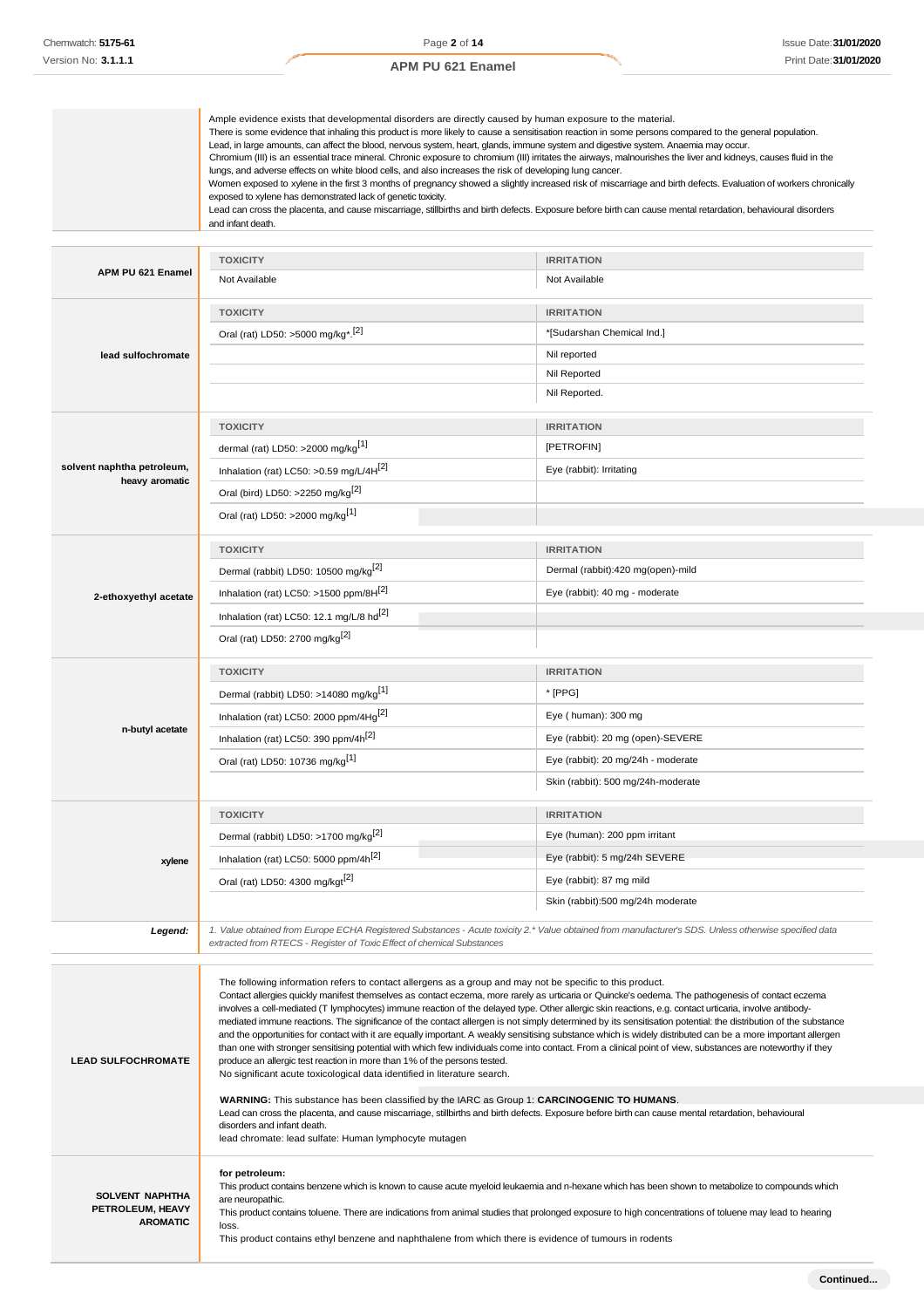|                                                        | Ample evidence exists that developmental disorders are directly caused by human exposure to the material.<br>There is some evidence that inhaling this product is more likely to cause a sensitisation reaction in some persons compared to the general population.<br>Lead, in large amounts, can affect the blood, nervous system, heart, glands, immune system and digestive system. Anaemia may occur.<br>Chromium (III) is an essential trace mineral. Chronic exposure to chromium (III) irritates the airways, malnourishes the liver and kidneys, causes fluid in the<br>lungs, and adverse effects on white blood cells, and also increases the risk of developing lung cancer.<br>Women exposed to xylene in the first 3 months of pregnancy showed a slightly increased risk of miscarriage and birth defects. Evaluation of workers chronically<br>exposed to xylene has demonstrated lack of genetic toxicity.<br>Lead can cross the placenta, and cause miscarriage, stillbirths and birth defects. Exposure before birth can cause mental retardation, behavioural disorders<br>and infant death. |                                                                                                  |  |
|--------------------------------------------------------|------------------------------------------------------------------------------------------------------------------------------------------------------------------------------------------------------------------------------------------------------------------------------------------------------------------------------------------------------------------------------------------------------------------------------------------------------------------------------------------------------------------------------------------------------------------------------------------------------------------------------------------------------------------------------------------------------------------------------------------------------------------------------------------------------------------------------------------------------------------------------------------------------------------------------------------------------------------------------------------------------------------------------------------------------------------------------------------------------------------|--------------------------------------------------------------------------------------------------|--|
|                                                        |                                                                                                                                                                                                                                                                                                                                                                                                                                                                                                                                                                                                                                                                                                                                                                                                                                                                                                                                                                                                                                                                                                                  |                                                                                                  |  |
| APM PU 621 Enamel                                      | <b>TOXICITY</b><br>Not Available                                                                                                                                                                                                                                                                                                                                                                                                                                                                                                                                                                                                                                                                                                                                                                                                                                                                                                                                                                                                                                                                                 | <b>IRRITATION</b><br>Not Available                                                               |  |
| lead sulfochromate                                     | <b>TOXICITY</b><br>Oral (rat) LD50: >5000 mg/kg <sup>*</sup> . <sup>[2]</sup>                                                                                                                                                                                                                                                                                                                                                                                                                                                                                                                                                                                                                                                                                                                                                                                                                                                                                                                                                                                                                                    | <b>IRRITATION</b><br>*[Sudarshan Chemical Ind.]<br>Nil reported<br>Nil Reported<br>Nil Reported. |  |
|                                                        | <b>TOXICITY</b>                                                                                                                                                                                                                                                                                                                                                                                                                                                                                                                                                                                                                                                                                                                                                                                                                                                                                                                                                                                                                                                                                                  | <b>IRRITATION</b>                                                                                |  |
|                                                        | dermal (rat) LD50: >2000 mg/kg <sup>[1]</sup>                                                                                                                                                                                                                                                                                                                                                                                                                                                                                                                                                                                                                                                                                                                                                                                                                                                                                                                                                                                                                                                                    | [PETROFIN]                                                                                       |  |
| solvent naphtha petroleum,<br>heavy aromatic           | Inhalation (rat) LC50: >0.59 mg/L/4H[2]<br>Oral (bird) LD50: >2250 mg/kg <sup>[2]</sup><br>Oral (rat) LD50: >2000 mg/kg <sup>[1]</sup>                                                                                                                                                                                                                                                                                                                                                                                                                                                                                                                                                                                                                                                                                                                                                                                                                                                                                                                                                                           | Eye (rabbit): Irritating                                                                         |  |
|                                                        |                                                                                                                                                                                                                                                                                                                                                                                                                                                                                                                                                                                                                                                                                                                                                                                                                                                                                                                                                                                                                                                                                                                  |                                                                                                  |  |
|                                                        | <b>TOXICITY</b>                                                                                                                                                                                                                                                                                                                                                                                                                                                                                                                                                                                                                                                                                                                                                                                                                                                                                                                                                                                                                                                                                                  | <b>IRRITATION</b>                                                                                |  |
|                                                        | Dermal (rabbit) LD50: 10500 mg/kg <sup>[2]</sup>                                                                                                                                                                                                                                                                                                                                                                                                                                                                                                                                                                                                                                                                                                                                                                                                                                                                                                                                                                                                                                                                 | Dermal (rabbit):420 mg(open)-mild                                                                |  |
|                                                        |                                                                                                                                                                                                                                                                                                                                                                                                                                                                                                                                                                                                                                                                                                                                                                                                                                                                                                                                                                                                                                                                                                                  |                                                                                                  |  |
| 2-ethoxyethyl acetate                                  | Inhalation (rat) LC50: >1500 ppm/8H $^{[2]}$                                                                                                                                                                                                                                                                                                                                                                                                                                                                                                                                                                                                                                                                                                                                                                                                                                                                                                                                                                                                                                                                     | Eye (rabbit): 40 mg - moderate                                                                   |  |
|                                                        | Inhalation (rat) LC50: 12.1 mg/L/8 hd <sup>[2]</sup>                                                                                                                                                                                                                                                                                                                                                                                                                                                                                                                                                                                                                                                                                                                                                                                                                                                                                                                                                                                                                                                             |                                                                                                  |  |
|                                                        | Oral (rat) LD50: 2700 mg/kg <sup>[2]</sup>                                                                                                                                                                                                                                                                                                                                                                                                                                                                                                                                                                                                                                                                                                                                                                                                                                                                                                                                                                                                                                                                       |                                                                                                  |  |
|                                                        | <b>TOXICITY</b>                                                                                                                                                                                                                                                                                                                                                                                                                                                                                                                                                                                                                                                                                                                                                                                                                                                                                                                                                                                                                                                                                                  | <b>IRRITATION</b>                                                                                |  |
|                                                        | Dermal (rabbit) LD50: >14080 mg/kg <sup>[1]</sup>                                                                                                                                                                                                                                                                                                                                                                                                                                                                                                                                                                                                                                                                                                                                                                                                                                                                                                                                                                                                                                                                | * [PPG]                                                                                          |  |
|                                                        | Inhalation (rat) LC50: 2000 ppm/4Hg <sup>[2]</sup>                                                                                                                                                                                                                                                                                                                                                                                                                                                                                                                                                                                                                                                                                                                                                                                                                                                                                                                                                                                                                                                               | Eye (human): 300 mg                                                                              |  |
| n-butyl acetate                                        | Inhalation (rat) LC50: 390 ppm/4h <sup>[2]</sup>                                                                                                                                                                                                                                                                                                                                                                                                                                                                                                                                                                                                                                                                                                                                                                                                                                                                                                                                                                                                                                                                 | Eye (rabbit): 20 mg (open)-SEVERE                                                                |  |
|                                                        | Oral (rat) LD50: 10736 mg/kg[1]                                                                                                                                                                                                                                                                                                                                                                                                                                                                                                                                                                                                                                                                                                                                                                                                                                                                                                                                                                                                                                                                                  | Eye (rabbit): 20 mg/24h - moderate                                                               |  |
|                                                        |                                                                                                                                                                                                                                                                                                                                                                                                                                                                                                                                                                                                                                                                                                                                                                                                                                                                                                                                                                                                                                                                                                                  |                                                                                                  |  |
|                                                        |                                                                                                                                                                                                                                                                                                                                                                                                                                                                                                                                                                                                                                                                                                                                                                                                                                                                                                                                                                                                                                                                                                                  | Skin (rabbit): 500 mg/24h-moderate                                                               |  |
|                                                        | <b>TOXICITY</b>                                                                                                                                                                                                                                                                                                                                                                                                                                                                                                                                                                                                                                                                                                                                                                                                                                                                                                                                                                                                                                                                                                  | <b>IRRITATION</b>                                                                                |  |
|                                                        | Dermal (rabbit) LD50: >1700 mg/kg <sup>[2]</sup>                                                                                                                                                                                                                                                                                                                                                                                                                                                                                                                                                                                                                                                                                                                                                                                                                                                                                                                                                                                                                                                                 | Eye (human): 200 ppm irritant                                                                    |  |
|                                                        |                                                                                                                                                                                                                                                                                                                                                                                                                                                                                                                                                                                                                                                                                                                                                                                                                                                                                                                                                                                                                                                                                                                  |                                                                                                  |  |
| xylene                                                 | Inhalation (rat) LC50: 5000 ppm/4h <sup>[2]</sup>                                                                                                                                                                                                                                                                                                                                                                                                                                                                                                                                                                                                                                                                                                                                                                                                                                                                                                                                                                                                                                                                | Eye (rabbit): 5 mg/24h SEVERE                                                                    |  |
|                                                        | Oral (rat) LD50: 4300 mg/kgt <sup>[2]</sup>                                                                                                                                                                                                                                                                                                                                                                                                                                                                                                                                                                                                                                                                                                                                                                                                                                                                                                                                                                                                                                                                      | Eye (rabbit): 87 mg mild                                                                         |  |
|                                                        |                                                                                                                                                                                                                                                                                                                                                                                                                                                                                                                                                                                                                                                                                                                                                                                                                                                                                                                                                                                                                                                                                                                  | Skin (rabbit):500 mg/24h moderate                                                                |  |
| Legend:                                                | 1. Value obtained from Europe ECHA Registered Substances - Acute toxicity 2.* Value obtained from manufacturer's SDS. Unless otherwise specified data<br>extracted from RTECS - Register of Toxic Effect of chemical Substances                                                                                                                                                                                                                                                                                                                                                                                                                                                                                                                                                                                                                                                                                                                                                                                                                                                                                  |                                                                                                  |  |
| <b>LEAD SULFOCHROMATE</b>                              | The following information refers to contact allergens as a group and may not be specific to this product.<br>Contact allergies quickly manifest themselves as contact eczema, more rarely as urticaria or Quincke's oedema. The pathogenesis of contact eczema<br>involves a cell-mediated (T lymphocytes) immune reaction of the delayed type. Other allergic skin reactions, e.g. contact urticaria, involve antibody-<br>mediated immune reactions. The significance of the contact allergen is not simply determined by its sensitisation potential: the distribution of the substance<br>and the opportunities for contact with it are equally important. A weakly sensitising substance which is widely distributed can be a more important allergen<br>than one with stronger sensitising potential with which few individuals come into contact. From a clinical point of view, substances are noteworthy if they<br>produce an allergic test reaction in more than 1% of the persons tested.<br>No significant acute toxicological data identified in literature search.                                |                                                                                                  |  |
|                                                        | <b>WARNING:</b> This substance has been classified by the IARC as Group 1: <b>CARCINOGENIC TO HUMANS</b> .<br>Lead can cross the placenta, and cause miscarriage, stillbirths and birth defects. Exposure before birth can cause mental retardation, behavioural                                                                                                                                                                                                                                                                                                                                                                                                                                                                                                                                                                                                                                                                                                                                                                                                                                                 |                                                                                                  |  |
|                                                        | disorders and infant death.<br>lead chromate: lead sulfate: Human lymphocyte mutagen                                                                                                                                                                                                                                                                                                                                                                                                                                                                                                                                                                                                                                                                                                                                                                                                                                                                                                                                                                                                                             |                                                                                                  |  |
| SOLVENT NAPHTHA<br>PETROLEUM, HEAVY<br><b>AROMATIC</b> | for petroleum:<br>This product contains benzene which is known to cause acute myeloid leukaemia and n-hexane which has been shown to metabolize to compounds which<br>are neuropathic.<br>This product contains toluene. There are indications from animal studies that prolonged exposure to high concentrations of toluene may lead to hearing<br>loss.<br>This product contains ethyl benzene and naphthalene from which there is evidence of tumours in rodents                                                                                                                                                                                                                                                                                                                                                                                                                                                                                                                                                                                                                                              |                                                                                                  |  |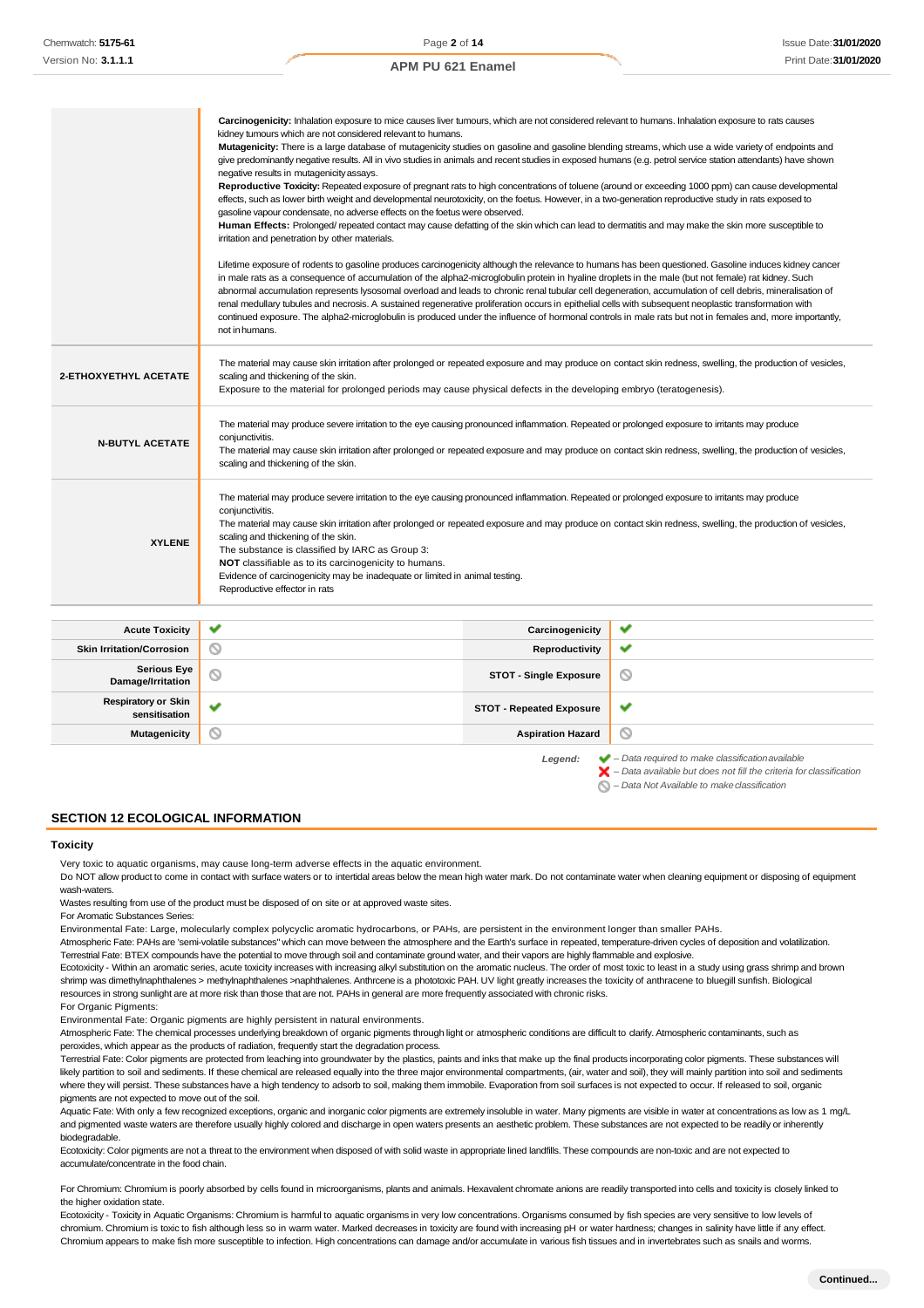|                              | Carcinogenicity: Inhalation exposure to mice causes liver tumours, which are not considered relevant to humans. Inhalation exposure to rats causes<br>kidney tumours which are not considered relevant to humans.<br>Mutagenicity: There is a large database of mutagenicity studies on gasoline and gasoline blending streams, which use a wide variety of endpoints and<br>give predominantly negative results. All in vivo studies in animals and recent studies in exposed humans (e.g. petrol service station attendants) have shown<br>negative results in mutagenicity assays.<br>Reproductive Toxicity: Repeated exposure of pregnant rats to high concentrations of toluene (around or exceeding 1000 ppm) can cause developmental<br>effects, such as lower birth weight and developmental neurotoxicity, on the foetus. However, in a two-generation reproductive study in rats exposed to<br>gasoline vapour condensate, no adverse effects on the foetus were observed.<br>Human Effects: Prolonged/repeated contact may cause defatting of the skin which can lead to dermatitis and may make the skin more susceptible to<br>irritation and penetration by other materials.<br>Lifetime exposure of rodents to gasoline produces carcinogenicity although the relevance to humans has been questioned. Gasoline induces kidney cancer<br>in male rats as a consequence of accumulation of the alpha2-microglobulin protein in hyaline droplets in the male (but not female) rat kidney. Such<br>abnormal accumulation represents lysosomal overload and leads to chronic renal tubular cell degeneration, accumulation of cell debris, mineralisation of<br>renal medullary tubules and necrosis. A sustained regenerative proliferation occurs in epithelial cells with subsequent neoplastic transformation with<br>continued exposure. The alpha2-microglobulin is produced under the influence of hormonal controls in male rats but not in females and, more importantly,<br>not in humans. |                       |   |
|------------------------------|-----------------------------------------------------------------------------------------------------------------------------------------------------------------------------------------------------------------------------------------------------------------------------------------------------------------------------------------------------------------------------------------------------------------------------------------------------------------------------------------------------------------------------------------------------------------------------------------------------------------------------------------------------------------------------------------------------------------------------------------------------------------------------------------------------------------------------------------------------------------------------------------------------------------------------------------------------------------------------------------------------------------------------------------------------------------------------------------------------------------------------------------------------------------------------------------------------------------------------------------------------------------------------------------------------------------------------------------------------------------------------------------------------------------------------------------------------------------------------------------------------------------------------------------------------------------------------------------------------------------------------------------------------------------------------------------------------------------------------------------------------------------------------------------------------------------------------------------------------------------------------------------------------------------------------------------------------------------------------------------------------------------|-----------------------|---|
| <b>2-ETHOXYETHYL ACETATE</b> | The material may cause skin irritation after prolonged or repeated exposure and may produce on contact skin redness, swelling, the production of vesicles,<br>scaling and thickening of the skin.<br>Exposure to the material for prolonged periods may cause physical defects in the developing embryo (teratogenesis).                                                                                                                                                                                                                                                                                                                                                                                                                                                                                                                                                                                                                                                                                                                                                                                                                                                                                                                                                                                                                                                                                                                                                                                                                                                                                                                                                                                                                                                                                                                                                                                                                                                                                        |                       |   |
| <b>N-BUTYL ACETATE</b>       | The material may produce severe irritation to the eye causing pronounced inflammation. Repeated or prolonged exposure to irritants may produce<br>conjunctivitis.<br>The material may cause skin irritation after prolonged or repeated exposure and may produce on contact skin redness, swelling, the production of vesicles,<br>scaling and thickening of the skin.                                                                                                                                                                                                                                                                                                                                                                                                                                                                                                                                                                                                                                                                                                                                                                                                                                                                                                                                                                                                                                                                                                                                                                                                                                                                                                                                                                                                                                                                                                                                                                                                                                          |                       |   |
| <b>XYLENE</b>                | The material may produce severe irritation to the eye causing pronounced inflammation. Repeated or prolonged exposure to irritants may produce<br>conjunctivitis.<br>The material may cause skin irritation after prolonged or repeated exposure and may produce on contact skin redness, swelling, the production of vesicles,<br>scaling and thickening of the skin.<br>The substance is classified by IARC as Group 3:<br>NOT classifiable as to its carcinogenicity to humans.<br>Evidence of carcinogenicity may be inadequate or limited in animal testing.<br>Reproductive effector in rats                                                                                                                                                                                                                                                                                                                                                                                                                                                                                                                                                                                                                                                                                                                                                                                                                                                                                                                                                                                                                                                                                                                                                                                                                                                                                                                                                                                                              |                       |   |
| <b>Acute Toxicity</b>        |                                                                                                                                                                                                                                                                                                                                                                                                                                                                                                                                                                                                                                                                                                                                                                                                                                                                                                                                                                                                                                                                                                                                                                                                                                                                                                                                                                                                                                                                                                                                                                                                                                                                                                                                                                                                                                                                                                                                                                                                                 | Carcinogenicity       |   |
| Skin Irritation/Corrosion    | ⋒                                                                                                                                                                                                                                                                                                                                                                                                                                                                                                                                                                                                                                                                                                                                                                                                                                                                                                                                                                                                                                                                                                                                                                                                                                                                                                                                                                                                                                                                                                                                                                                                                                                                                                                                                                                                                                                                                                                                                                                                               | <b>Reproductivity</b> | ັ |

| <b>Acute Toxicity</b>                       | $\checkmark$ | Carcinogenicity                 | ✔                                                                                                                                                                  |
|---------------------------------------------|--------------|---------------------------------|--------------------------------------------------------------------------------------------------------------------------------------------------------------------|
| <b>Skin Irritation/Corrosion</b>            | $\circ$      | Reproductivity                  | $\checkmark$                                                                                                                                                       |
| <b>Serious Eye</b><br>Damage/Irritation     | $\circ$      | <b>STOT - Single Exposure</b>   | $\circledcirc$                                                                                                                                                     |
| <b>Respiratory or Skin</b><br>sensitisation | $\checkmark$ | <b>STOT - Repeated Exposure</b> | ✔                                                                                                                                                                  |
| Mutagenicity                                | $\circ$      | <b>Aspiration Hazard</b>        | O                                                                                                                                                                  |
|                                             |              | Legend:                         | $\blacktriangleright$ - Data required to make classification available<br>$\blacktriangleright$ - Data available but does not fill the criteria for classification |

*– Data Not Available to makeclassification*

**SECTION 12 ECOLOGICAL INFORMATION**

### **Toxicity**

Very toxic to aquatic organisms, may cause long-term adverse effects in the aquatic environment.

Do NOT allow product to come in contact with surface waters or to intertidal areas below the mean high water mark. Do not contaminate water when cleaning equipment or disposing of equipment wash-waters.

Wastes resulting from use of the product must be disposed of on site or at approved waste sites.

For Aromatic Substances Series:

Environmental Fate: Large, molecularly complex polycyclic aromatic hydrocarbons, or PAHs, are persistent in the environment longer than smaller PAHs.

Atmospheric Fate: PAHs are 'semi-volatile substances" which can move between the atmosphere and the Earth's surface in repeated, temperature-driven cycles of deposition and volatilization. Terrestrial Fate: BTEX compounds have the potential to move through soil and contaminate ground water, and their vapors are highly flammable and explosive.

Ecotoxicity - Within an aromatic series, acute toxicity increases with increasing alkyl substitution on the aromatic nucleus. The order of most toxic to least in a study using grass shrimp and brown shrimp was dimethylnaphthalenes > methylnaphthalenes >naphthalenes. Anthrcene is a phototoxic PAH. UV light greatly increases the toxicity of anthracene to bluegill sunfish. Biological resources in strong sunlight are at more risk than those that are not. PAHs in general are more frequently associated with chronic risks.

For Organic Pigments:

Environmental Fate: Organic pigments are highly persistent in natural environments.

Atmospheric Fate: The chemical processes underlying breakdown of organic pigments through light or atmospheric conditions are difficult to clarify. Atmospheric contaminants, such as peroxides, which appear as the products of radiation, frequently start the degradation process.

Terrestrial Fate: Color pigments are protected from leaching into groundwater by the plastics, paints and inks that make up the final products incorporating color pigments. These substances will likely partition to soil and sediments. If these chemical are released equally into the three major environmental compartments, (air, water and soil), they will mainly partition into soil and sediments where they will persist. These substances have a high tendency to adsorb to soil, making them immobile. Evaporation from soil surfaces is not expected to occur. If released to soil, organic pigments are not expected to move out of the soil.

Aquatic Fate: With only a few recognized exceptions, organic and inorganic color pigments are extremely insoluble in water. Many pigments are visible in water at concentrations as low as 1 mg/L and pigmented waste waters are therefore usually highly colored and discharge in open waters presents an aesthetic problem. These substances are not expected to be readily or inherently biodegradable.

Ecotoxicity: Color pigments are not a threat to the environment when disposed of with solid waste in appropriate lined landfills. These compounds are non-toxic and are not expected to accumulate/concentrate in the food chain.

For Chromium: Chromium is poorly absorbed by cells found in microorganisms, plants and animals. Hexavalent chromate anions are readily transported into cells and toxicity is closely linked to the higher oxidation state

Ecotoxicity - Toxicity in Aquatic Organisms: Chromium is harmful to aquatic organisms in very low concentrations. Organisms consumed by fish species are very sensitive to low levels of chromium. Chromium is toxic to fish although less so in warm water. Marked decreases in toxicity are found with increasing pH or water hardness; changes in salinity have little if any effect. Chromium appears to make fish more susceptible to infection. High concentrations can damage and/or accumulate in various fish tissues and in invertebrates such as snails and worms.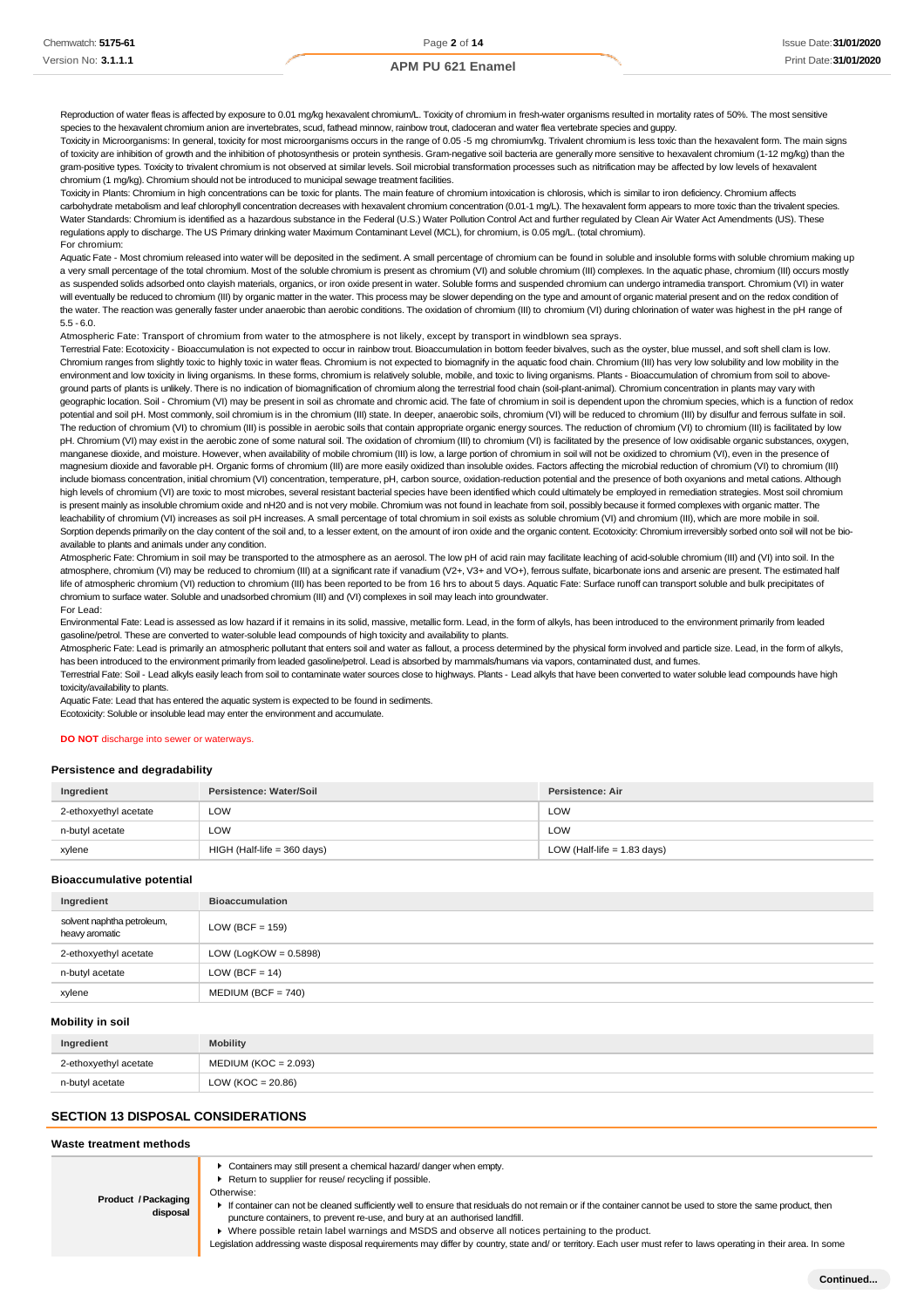Reproduction of water fleas is affected by exposure to 0.01 mg/kg hexavalent chromium/L. Toxicity of chromium in fresh-water organisms resulted in mortality rates of 50%. The most sensitive species to the hexavalent chromium anion are invertebrates, scud, fathead minnow, rainbow trout, cladoceran and water flea vertebrate species and quppy

Toxicity in Microorganisms: In general, toxicity for most microorganisms occurs in the range of 0.05 -5 mg chromium/kg. Trivalent chromium is less toxic than the hexavalent form. The main signs of toxicity are inhibition of growth and the inhibition of photosynthesis or protein synthesis. Gram-negative soil bacteria are generally more sensitive to hexavalent chromium (1-12 mg/kg) than the gram-positive types. Toxicity to trivalent chromium is not observed at similar levels. Soil microbial transformation processes such as nitrification may be affected by low levels of hexavalent chromium (1 mg/kg). Chromium should not be introduced to municipal sewage treatment facilities.

Toxicity in Plants: Chromium in high concentrations can be toxic for plants. The main feature of chromium intoxication is chlorosis, which is similar to iron deficiency. Chromium affects carbohydrate metabolism and leaf chlorophyll concentration decreases with hexavalent chromium concentration (0.01-1 mg/L). The hexavalent form appears to more toxic than the trivalent species. Water Standards: Chromium is identified as a hazardous substance in the Federal (U.S.) Water Pollution Control Act and further regulated by Clean Air Water Act Amendments (US). These regulations apply to discharge. The US Primary drinking water Maximum Contaminant Level (MCL), for chromium, is 0.05 mg/L. (total chromium). For chromium:

Aquatic Fate - Most chromium released into water will be deposited in the sediment. A small percentage of chromium can be found in soluble and insoluble forms with soluble chromium making up a very small percentage of the total chromium. Most of the soluble chromium is present as chromium (VI) and soluble chromium (III) complexes. In the aquatic phase, chromium (III) occurs mostly as suspended solids adsorbed onto clayish materials, organics, or iron oxide present in water. Soluble forms and suspended chromium can undergo intramedia transport. Chromium (VI) in water will eventually be reduced to chromium (III) by organic matter in the water. This process may be slower depending on the type and amount of organic material present and on the redox condition of the water. The reaction was generally faster under anaerobic than aerobic conditions. The oxidation of chromium (III) to chromium (VI) during chlorination of water was highest in the pH range of 5.5 - 6.0.

Atmospheric Fate: Transport of chromium from water to the atmosphere is not likely, except by transport in windblown sea sprays.

Terrestrial Fate: Ecotoxicity - Bioaccumulation is not expected to occur in rainbow trout. Bioaccumulation in bottom feeder bivalves, such as the oyster, blue mussel, and soft shell clam is low. Chromium ranges from slightly toxic to highly toxic in water fleas. Chromium is not expected to biomagnify in the aquatic food chain. Chromium (III) has very low solubility and low mobility in the environment and low toxicity in living organisms. In these forms, chromium is relatively soluble, mobile, and toxic to living organisms. Plants - Bioaccumulation of chromium from soil to above ground parts of plants is unlikely. There is no indication of biomagnification of chromium along the terrestrial food chain (soil-plant-animal). Chromium concentration in plants may vary with geographic location. Soil - Chromium (VI) may be present in soil as chromate and chromic acid. The fate of chromium in soil is dependent upon the chromium species, which is a function of redox potential and soil pH. Most commonly, soil chromium is in the chromium (III) state. In deeper, anaerobic soils, chromium (VI) will be reduced to chromium (III) by disulfur and ferrous sulfate in soil. The reduction of chromium (VI) to chromium (III) is possible in aerobic soils that contain appropriate organic energy sources. The reduction of chromium (VI) to chromium (III) is facilitated by low pH. Chromium (VI) may exist in the aerobic zone of some natural soil. The oxidation of chromium (III) to chromium (VI) is facilitated by the presence of low oxidisable organic substances, oxygen, manganese dioxide, and moisture. However, when availability of mobile chromium (III) is low, a large portion of chromium in soil will not be oxidized to chromium (VI), even in the presence of magnesium dioxide and favorable pH. Organic forms of chromium (III) are more easily oxidized than insoluble oxides. Factors affecting the microbial reduction of chromium (VI) to chromium (III) include biomass concentration, initial chromium (VI) concentration, temperature, pH, carbon source, oxidation-reduction potential and the presence of both oxyanions and metal cations. Although high levels of chromium (VI) are toxic to most microbes, several resistant bacterial species have been identified which could ultimately be employed in remediation strategies. Most soil chromium is present mainly as insoluble chromium oxide and nH20 and is not very mobile. Chromium was not found in leachate from soil, possibly because it formed complexes with organic matter. The leachability of chromium (VI) increases as soil pH increases. A small percentage of total chromium in soil exists as soluble chromium (VI) and chromium (III), which are more mobile in soil. Sorption depends primarily on the clay content of the soil and, to a lesser extent, on the amount of iron oxide and the organic content. Ecotoxicity: Chromium irreversibly sorbed onto soil will not be bioavailable to plants and animals under any condition.

Atmospheric Fate: Chromium in soil may be transported to the atmosphere as an aerosol. The low pH of acid rain may facilitate leaching of acid-soluble chromium (III) and (VI) into soil. In the atmosphere, chromium (VI) may be reduced to chromium (III) at a significant rate if vanadium (V2+, V3+ and VO+), ferrous sulfate, bicarbonate ions and arsenic are present. The estimated half life of atmospheric chromium (VI) reduction to chromium (III) has been reported to be from 16 hrs to about 5 days. Aquatic Fate: Surface runoff can transport soluble and bulk precipitates of chromium to surface water. Soluble and unadsorbed chromium (III) and (VI) complexes in soil may leach into groundwater. For Lead:

Environmental Fate: Lead is assessed as low hazard if it remains in its solid, massive, metallic form. Lead, in the form of alkyls, has been introduced to the environment primarily from leaded gasoline/petrol. These are converted to water-soluble lead compounds of high toxicity and availability to plants.

Atmospheric Fate: Lead is primarily an atmospheric pollutant that enters soil and water as fallout, a process determined by the physical form involved and particle size. Lead, in the form of alkyls, has been introduced to the environment primarily from leaded gasoline/petrol. Lead is absorbed by mammals/humans via vapors, contaminated dust, and fumes

Terrestrial Fate: Soil - Lead alkyls easily leach from soil to contaminate water sources close to highways. Plants - Lead alkyls that have been converted to water soluble lead compounds have high toxicity/availability to plants.

Aquatic Fate: Lead that has entered the aquatic system is expected to be found in sediments.

Ecotoxicity: Soluble or insoluble lead may enter the environment and accumulate.

#### **DO NOT** discharge into sewer or waterways.

#### **Persistence and degradability**

| Ingredient            | Persistence: Water/Soil     | Persistence: Air              |
|-----------------------|-----------------------------|-------------------------------|
| 2-ethoxyethyl acetate | LOW                         | LOW                           |
| n-butyl acetate       | LOW                         | LOW                           |
| xylene                | HIGH (Half-life = 360 days) | LOW (Half-life $= 1.83$ days) |

#### **Bioaccumulative potential**

| Ingredient                                   | <b>Bioaccumulation</b>   |
|----------------------------------------------|--------------------------|
| solvent naphtha petroleum,<br>heavy aromatic | LOW (BCF = $159$ )       |
| 2-ethoxyethyl acetate                        | LOW (LogKOW = $0.5898$ ) |
| n-butyl acetate                              | $LOW (BCF = 14)$         |
| xylene                                       | $MEDIUM (BCF = 740)$     |

#### **Mobility in soil**

| Ingredient            | Mobility               |
|-----------------------|------------------------|
| 2-ethoxyethyl acetate | $MEDIUM (KOC = 2.093)$ |
| n-butyl acetate       | LOW ( $KOC = 20.86$ )  |

### **SECTION 13 DISPOSAL CONSIDERATIONS**

Otherwise:

#### **Waste treatment methods**

Containers may still present a chemical hazard/ danger when empty.

▶ Return to supplier for reuse/ recycling if possible.

**Product /Packaging disposal**

If container can not be cleaned sufficiently well to ensure that residuals do not remain or if the container cannot be used to store the same product, then puncture containers, to prevent re-use, and bury at an authorised landfill.

Where possible retain label warnings and MSDS and observe all notices pertaining to the product.

Legislation addressing waste disposal requirements may differ by country, state and/ or territory. Each user must refer to laws operating in their area. In some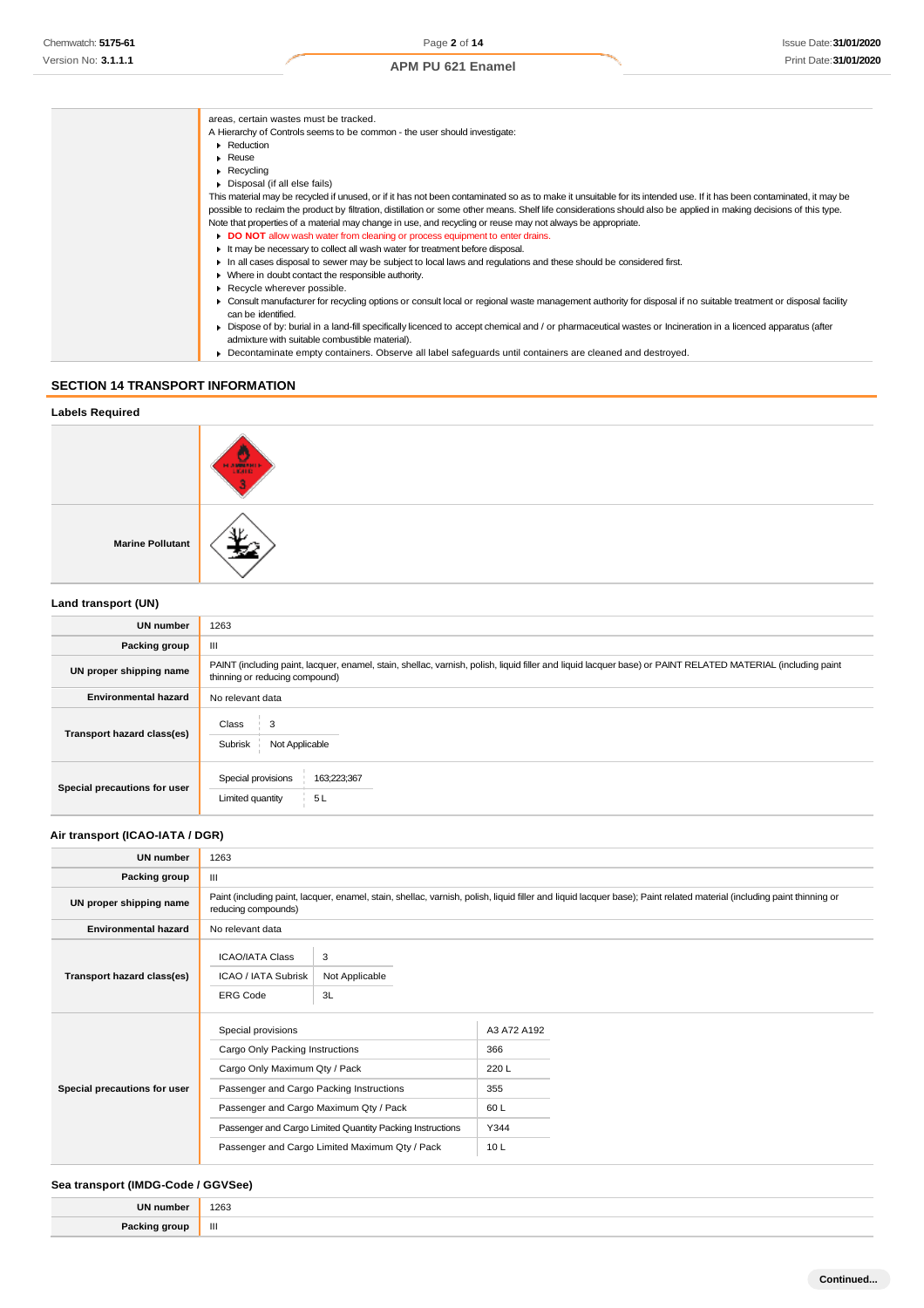| areas, certain wastes must be tracked.                                                                                                                               |
|----------------------------------------------------------------------------------------------------------------------------------------------------------------------|
| A Hierarchy of Controls seems to be common - the user should investigate:                                                                                            |
| Reduction                                                                                                                                                            |
| $\triangleright$ Reuse                                                                                                                                               |
| $\triangleright$ Recycling                                                                                                                                           |
| • Disposal (if all else fails)                                                                                                                                       |
| This material may be recycled if unused, or if it has not been contaminated so as to make it unsuitable for its intended use. If it has been contaminated, it may be |
| possible to reclaim the product by filtration, distillation or some other means. Shelf life considerations should also be applied in making decisions of this type.  |
| Note that properties of a material may change in use, and recycling or reuse may not always be appropriate.                                                          |
| DO NOT allow wash water from cleaning or process equipment to enter drains.                                                                                          |
| It may be necessary to collect all wash water for treatment before disposal.                                                                                         |
| In all cases disposal to sewer may be subject to local laws and regulations and these should be considered first.                                                    |
| • Where in doubt contact the responsible authority.                                                                                                                  |
| Recycle wherever possible.                                                                                                                                           |
| • Consult manufacturer for recycling options or consult local or regional waste management authority for disposal if no suitable treatment or disposal facility      |
| can be identified.                                                                                                                                                   |
| > Dispose of by: burial in a land-fill specifically licenced to accept chemical and / or pharmaceutical wastes or Incineration in a licenced apparatus (after        |
| admixture with suitable combustible material).                                                                                                                       |
| ▶ Decontaminate empty containers. Observe all label safeguards until containers are cleaned and destroyed.                                                           |
|                                                                                                                                                                      |

# **SECTION 14 TRANSPORT INFORMATION**

| <b>Labels Required</b>  |        |
|-------------------------|--------|
|                         | HAMBER |
| <b>Marine Pollutant</b> |        |
| Land transport (UN)     |        |

| <b>UN number</b>             | 1263                                                                                                                                                                                          |  |
|------------------------------|-----------------------------------------------------------------------------------------------------------------------------------------------------------------------------------------------|--|
| Packing group                | Ш                                                                                                                                                                                             |  |
| UN proper shipping name      | PAINT (including paint, lacquer, enamel, stain, shellac, varnish, polish, liquid filler and liquid lacquer base) or PAINT RELATED MATERIAL (including paint<br>thinning or reducing compound) |  |
| <b>Environmental hazard</b>  | No relevant data                                                                                                                                                                              |  |
| Transport hazard class(es)   | Class<br>3<br>Subrisk<br>Not Applicable                                                                                                                                                       |  |
| Special precautions for user | Special provisions<br>163;223;367<br>5L<br>Limited quantity                                                                                                                                   |  |

# **Air transport (ICAO-IATA / DGR)**

| <b>UN number</b>             | 1263                                                                                                                                                                                                                                                                                        |                           |                                                          |  |
|------------------------------|---------------------------------------------------------------------------------------------------------------------------------------------------------------------------------------------------------------------------------------------------------------------------------------------|---------------------------|----------------------------------------------------------|--|
| Packing group                | Ш                                                                                                                                                                                                                                                                                           |                           |                                                          |  |
| UN proper shipping name      | Paint (including paint, lacquer, enamel, stain, shellac, varnish, polish, liquid filler and liquid lacquer base); Paint related material (including paint thinning or<br>reducing compounds)                                                                                                |                           |                                                          |  |
| <b>Environmental hazard</b>  | No relevant data                                                                                                                                                                                                                                                                            |                           |                                                          |  |
| Transport hazard class(es)   | <b>ICAO/IATA Class</b><br>ICAO / IATA Subrisk<br><b>ERG Code</b>                                                                                                                                                                                                                            | 3<br>Not Applicable<br>3L |                                                          |  |
| Special precautions for user | Special provisions<br>Cargo Only Packing Instructions<br>Cargo Only Maximum Qty / Pack<br>Passenger and Cargo Packing Instructions<br>Passenger and Cargo Maximum Qty / Pack<br>Passenger and Cargo Limited Quantity Packing Instructions<br>Passenger and Cargo Limited Maximum Qty / Pack |                           | A3 A72 A192<br>366<br>220L<br>355<br>60 L<br>Y344<br>10L |  |

# **Sea transport (IMDG-Code / GGVSee)**

| <b>IIN numl</b> | 1263<br>$\sim$ $\sim$ |
|-----------------|-----------------------|
| Dock            | Ш                     |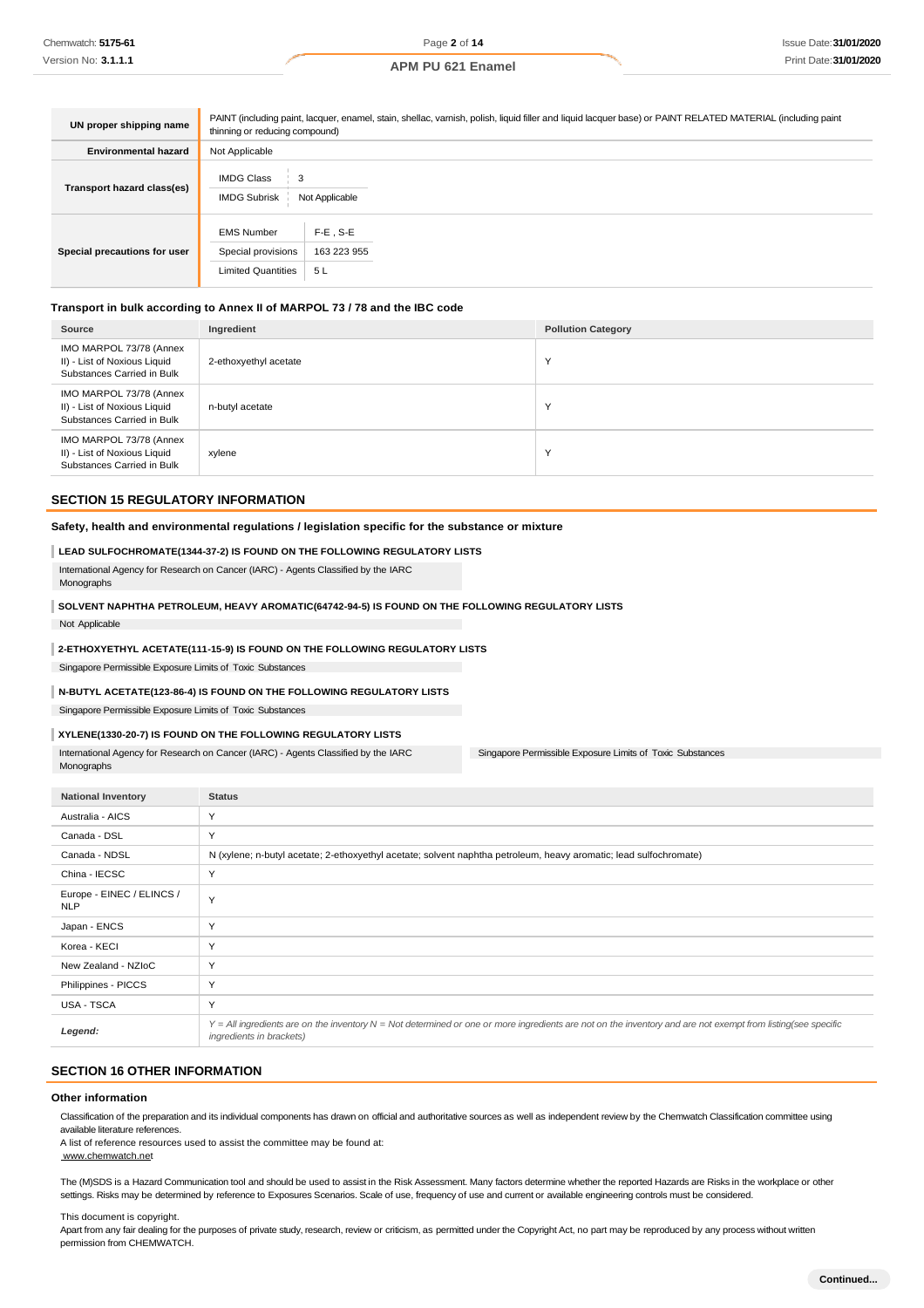| UN proper shipping name      | PAINT (including paint, lacquer, enamel, stain, shellac, varnish, polish, liquid filler and liquid lacquer base) or PAINT RELATED MATERIAL (including paint<br>thinning or reducing compound) |                                   |  |
|------------------------------|-----------------------------------------------------------------------------------------------------------------------------------------------------------------------------------------------|-----------------------------------|--|
| <b>Environmental hazard</b>  | Not Applicable                                                                                                                                                                                |                                   |  |
| Transport hazard class(es)   | <b>IMDG Class</b><br>3<br><b>IMDG Subrisk</b>                                                                                                                                                 | Not Applicable                    |  |
| Special precautions for user | <b>EMS Number</b><br>Special provisions<br><b>Limited Quantities</b>                                                                                                                          | $F-E$ . S-E<br>163 223 955<br>5 L |  |

# **Transport in bulk according to Annex II of MARPOL 73 / 78 and the IBC code**

| Source                                                                                | Ingredient            | <b>Pollution Category</b> |
|---------------------------------------------------------------------------------------|-----------------------|---------------------------|
| IMO MARPOL 73/78 (Annex<br>II) - List of Noxious Liquid<br>Substances Carried in Bulk | 2-ethoxyethyl acetate | $\checkmark$              |
| IMO MARPOL 73/78 (Annex<br>II) - List of Noxious Liquid<br>Substances Carried in Bulk | n-butyl acetate       | $\checkmark$              |
| IMO MARPOL 73/78 (Annex<br>II) - List of Noxious Liquid<br>Substances Carried in Bulk | xylene                | $\checkmark$              |

#### **SECTION 15 REGULATORY INFORMATION**

#### **Safety, health and environmental regulations / legislation specific for the substance or mixture**

#### **LEAD SULFOCHROMATE(1344-37-2) IS FOUND ON THE FOLLOWING REGULATORY LISTS**

International Agency for Research on Cancer (IARC) - Agents Classified by the IARC Monographs

# **SOLVENT NAPHTHA PETROLEUM, HEAVY AROMATIC(64742-94-5) IS FOUND ON THE FOLLOWING REGULATORY LISTS**

Not Applicable

#### **2-ETHOXYETHYL ACETATE(111-15-9) IS FOUND ON THE FOLLOWING REGULATORY LISTS**

Singapore Permissible Exposure Limits of Toxic Substances

#### **N-BUTYL ACETATE(123-86-4) IS FOUND ON THE FOLLOWING REGULATORY LISTS**

Singapore Permissible Exposure Limits of Toxic Substances

#### **XYLENE(1330-20-7) IS FOUND ON THE FOLLOWING REGULATORY LISTS**

International Agency for Research on Cancer (IARC) - Agents Classified by the IARC Monographs

Singapore Permissible Exposure Limits of Toxic Substances

| <b>National Inventory</b>               | <b>Status</b>                                                                                                                                                                            |
|-----------------------------------------|------------------------------------------------------------------------------------------------------------------------------------------------------------------------------------------|
| Australia - AICS                        | Y                                                                                                                                                                                        |
| Canada - DSL                            | Y                                                                                                                                                                                        |
| Canada - NDSL                           | N (xylene; n-butyl acetate; 2-ethoxyethyl acetate; solvent naphtha petroleum, heavy aromatic; lead sulfochromate)                                                                        |
| China - IECSC                           | Y                                                                                                                                                                                        |
| Europe - EINEC / ELINCS /<br><b>NLP</b> | Y                                                                                                                                                                                        |
| Japan - ENCS                            | Y                                                                                                                                                                                        |
| Korea - KECI                            | Y                                                                                                                                                                                        |
| New Zealand - NZIoC                     | Y                                                                                                                                                                                        |
| Philippines - PICCS                     | Y                                                                                                                                                                                        |
| <b>USA - TSCA</b>                       | Y                                                                                                                                                                                        |
| Legend:                                 | Y = All ingredients are on the inventory N = Not determined or one or more ingredients are not on the inventory and are not exempt from listing(see specific<br>ingredients in brackets) |

#### **SECTION 16 OTHER INFORMATION**

### **Other information**

Classification of the preparation and its individual components has drawn on official and authoritative sources as well as independent review by the Chemwatch Classification committee using available literature references.

A list of reference resources used to assist the committee may be found at:

[www.chemwatch.net](http://www.chemwatch.net/)

The (M)SDS is a Hazard Communication tool and should be used to assist in the Risk Assessment. Many factors determine whether the reported Hazards are Risks in the workplace or other settings. Risks may be determined by reference to Exposures Scenarios. Scale of use, frequency of use and current or available engineering controls must be considered.

This document is copyright.

Apart from any fair dealing for the purposes of private study, research, review or criticism, as permitted under the Copyright Act, no part may be reproduced by any process without written permission from CHEMWATCH.